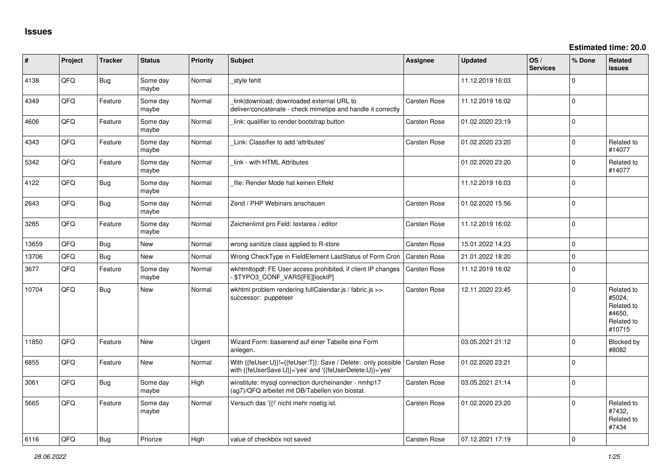| ∦     | Project | <b>Tracker</b> | <b>Status</b>     | Priority | <b>Subject</b>                                                                                                                            | <b>Assignee</b>     | <b>Updated</b>   | OS/<br><b>Services</b> | % Done         | Related<br><b>issues</b>                                             |
|-------|---------|----------------|-------------------|----------|-------------------------------------------------------------------------------------------------------------------------------------------|---------------------|------------------|------------------------|----------------|----------------------------------------------------------------------|
| 4138  | QFQ     | Bug            | Some day<br>maybe | Normal   | style fehlt                                                                                                                               |                     | 11.12.2019 16:03 |                        | $\Omega$       |                                                                      |
| 4349  | QFQ     | Feature        | Some day<br>maybe | Normal   | link download: downloaded external URL to<br>deliver/concatenate - check mimetipe and handle it correctly                                 | Carsten Rose        | 11.12.2019 16:02 |                        | $\Omega$       |                                                                      |
| 4606  | QFQ     | Feature        | Some day<br>maybe | Normal   | link: qualifier to render bootstrap button                                                                                                | Carsten Rose        | 01.02.2020 23:19 |                        | $\Omega$       |                                                                      |
| 4343  | QFQ     | Feature        | Some day<br>maybe | Normal   | Link: Classifier to add 'attributes'                                                                                                      | Carsten Rose        | 01.02.2020 23:20 |                        | $\Omega$       | Related to<br>#14077                                                 |
| 5342  | QFQ     | Feature        | Some day<br>maybe | Normal   | link - with HTML Attributes                                                                                                               |                     | 01.02.2020 23:20 |                        | $\Omega$       | Related to<br>#14077                                                 |
| 4122  | QFQ     | Bug            | Some day<br>maybe | Normal   | file: Render Mode hat keinen Effekt                                                                                                       |                     | 11.12.2019 16:03 |                        | $\overline{0}$ |                                                                      |
| 2643  | QFQ     | Bug            | Some day<br>maybe | Normal   | Zend / PHP Webinars anschauen                                                                                                             | Carsten Rose        | 01.02.2020 15:56 |                        | $\mathbf 0$    |                                                                      |
| 3285  | QFQ     | Feature        | Some day<br>maybe | Normal   | Zeichenlimit pro Feld: textarea / editor                                                                                                  | Carsten Rose        | 11.12.2019 16:02 |                        | $\Omega$       |                                                                      |
| 13659 | QFQ     | Bug            | <b>New</b>        | Normal   | wrong sanitize class applied to R-store                                                                                                   | Carsten Rose        | 15.01.2022 14:23 |                        | $\mathbf 0$    |                                                                      |
| 13706 | QFQ     | Bug            | New               | Normal   | Wrong CheckType in FieldElement LastStatus of Form Cron                                                                                   | Carsten Rose        | 21.01.2022 18:20 |                        | $\Omega$       |                                                                      |
| 3677  | QFQ     | Feature        | Some day<br>maybe | Normal   | wkhtmltopdf: FE User access prohibited, if client IP changes<br>\$TYPO3_CONF_VARS[FE][lockIP]                                             | <b>Carsten Rose</b> | 11.12.2019 16:02 |                        | $\overline{0}$ |                                                                      |
| 10704 | QFQ     | Bug            | New               | Normal   | wkhtml problem rendering fullCalendar.js / fabric.js >><br>successor: puppeteer                                                           | Carsten Rose        | 12.11.2020 23:45 |                        | $\Omega$       | Related to<br>#5024,<br>Related to<br>#4650,<br>Related to<br>#10715 |
| 11850 | QFQ     | Feature        | <b>New</b>        | Urgent   | Wizard Form: basierend auf einer Tabelle eine Form<br>anlegen.                                                                            |                     | 03.05.2021 21:12 |                        | $\Omega$       | <b>Blocked by</b><br>#8082                                           |
| 6855  | QFQ     | Feature        | New               | Normal   | With {{feUser:U}}!={{feUser:T}}: Save / Delete: only possible   Carsten Rose<br>with {{feUserSave:U}}='yes' and '{{feUserDelete:U}}='yes' |                     | 01.02.2020 23:21 |                        | $\overline{0}$ |                                                                      |
| 3061  | QFQ     | Bug            | Some day<br>maybe | High     | winstitute: mysql connection durcheinander - nmhp17<br>(ag7)/QFQ arbeitet mit DB/Tabellen von biostat.                                    | Carsten Rose        | 03.05.2021 21:14 |                        | $\Omega$       |                                                                      |
| 5665  | QFQ     | Feature        | Some day<br>maybe | Normal   | Versuch das '{{!' nicht mehr noetig ist.                                                                                                  | Carsten Rose        | 01.02.2020 23:20 |                        | $\Omega$       | Related to<br>#7432,<br>Related to<br>#7434                          |
| 6116  | OFO     | Bug            | Priorize          | Hiah     | value of checkbox not saved                                                                                                               | <b>Carsten Rose</b> | 07.12.2021 17:19 |                        | $\Omega$       |                                                                      |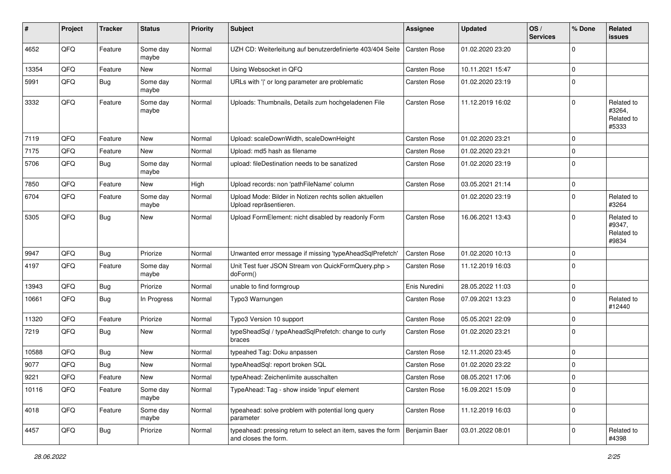| #     | Project | <b>Tracker</b> | <b>Status</b>     | <b>Priority</b> | <b>Subject</b>                                                                       | <b>Assignee</b>     | <b>Updated</b>   | OS/<br><b>Services</b> | % Done      | Related<br>issues                           |
|-------|---------|----------------|-------------------|-----------------|--------------------------------------------------------------------------------------|---------------------|------------------|------------------------|-------------|---------------------------------------------|
| 4652  | QFQ     | Feature        | Some day<br>maybe | Normal          | UZH CD: Weiterleitung auf benutzerdefinierte 403/404 Seite                           | <b>Carsten Rose</b> | 01.02.2020 23:20 |                        | $\Omega$    |                                             |
| 13354 | QFQ     | Feature        | <b>New</b>        | Normal          | Using Websocket in QFQ                                                               | <b>Carsten Rose</b> | 10.11.2021 15:47 |                        | $\Omega$    |                                             |
| 5991  | QFQ     | <b>Bug</b>     | Some day<br>maybe | Normal          | URLs with ' ' or long parameter are problematic                                      | Carsten Rose        | 01.02.2020 23:19 |                        | $\Omega$    |                                             |
| 3332  | QFQ     | Feature        | Some day<br>maybe | Normal          | Uploads: Thumbnails, Details zum hochgeladenen File                                  | Carsten Rose        | 11.12.2019 16:02 |                        | $\mathbf 0$ | Related to<br>#3264,<br>Related to<br>#5333 |
| 7119  | QFQ     | Feature        | <b>New</b>        | Normal          | Upload: scaleDownWidth, scaleDownHeight                                              | <b>Carsten Rose</b> | 01.02.2020 23:21 |                        | 0           |                                             |
| 7175  | QFQ     | Feature        | <b>New</b>        | Normal          | Upload: md5 hash as filename                                                         | Carsten Rose        | 01.02.2020 23:21 |                        | $\mathbf 0$ |                                             |
| 5706  | QFQ     | Bug            | Some day<br>maybe | Normal          | upload: fileDestination needs to be sanatized                                        | Carsten Rose        | 01.02.2020 23:19 |                        | $\Omega$    |                                             |
| 7850  | QFQ     | Feature        | <b>New</b>        | High            | Upload records: non 'pathFileName' column                                            | <b>Carsten Rose</b> | 03.05.2021 21:14 |                        | 0           |                                             |
| 6704  | QFQ     | Feature        | Some day<br>maybe | Normal          | Upload Mode: Bilder in Notizen rechts sollen aktuellen<br>Upload repräsentieren.     |                     | 01.02.2020 23:19 |                        | 0           | Related to<br>#3264                         |
| 5305  | QFQ     | Bug            | New               | Normal          | Upload FormElement: nicht disabled by readonly Form                                  | <b>Carsten Rose</b> | 16.06.2021 13:43 |                        | $\Omega$    | Related to<br>#9347,<br>Related to<br>#9834 |
| 9947  | QFQ     | Bug            | Priorize          | Normal          | Unwanted error message if missing 'typeAheadSqlPrefetch'                             | <b>Carsten Rose</b> | 01.02.2020 10:13 |                        | $\mathbf 0$ |                                             |
| 4197  | QFQ     | Feature        | Some day<br>maybe | Normal          | Unit Test fuer JSON Stream von QuickFormQuery.php ><br>doForm()                      | Carsten Rose        | 11.12.2019 16:03 |                        | $\Omega$    |                                             |
| 13943 | QFQ     | Bug            | Priorize          | Normal          | unable to find formgroup                                                             | Enis Nuredini       | 28.05.2022 11:03 |                        | 0           |                                             |
| 10661 | QFQ     | Bug            | In Progress       | Normal          | Typo3 Warnungen                                                                      | <b>Carsten Rose</b> | 07.09.2021 13:23 |                        | $\Omega$    | Related to<br>#12440                        |
| 11320 | QFQ     | Feature        | Priorize          | Normal          | Typo3 Version 10 support                                                             | Carsten Rose        | 05.05.2021 22:09 |                        | $\Omega$    |                                             |
| 7219  | QFQ     | Bug            | <b>New</b>        | Normal          | typeSheadSql / typeAheadSqlPrefetch: change to curly<br>braces                       | Carsten Rose        | 01.02.2020 23:21 |                        | $\Omega$    |                                             |
| 10588 | QFQ     | Bug            | <b>New</b>        | Normal          | typeahed Tag: Doku anpassen                                                          | <b>Carsten Rose</b> | 12.11.2020 23:45 |                        | $\mathbf 0$ |                                             |
| 9077  | QFQ     | Bug            | New               | Normal          | typeAheadSql: report broken SQL                                                      | <b>Carsten Rose</b> | 01.02.2020 23:22 |                        | $\mathbf 0$ |                                             |
| 9221  | QFQ     | Feature        | New               | Normal          | typeAhead: Zeichenlimite ausschalten                                                 | Carsten Rose        | 08.05.2021 17:06 |                        | $\Omega$    |                                             |
| 10116 | QFQ     | Feature        | Some day<br>maybe | Normal          | TypeAhead: Tag - show inside 'input' element                                         | Carsten Rose        | 16.09.2021 15:09 |                        | $\mathbf 0$ |                                             |
| 4018  | QFQ     | Feature        | Some day<br>maybe | Normal          | typeahead: solve problem with potential long query<br>parameter                      | Carsten Rose        | 11.12.2019 16:03 |                        | 0           |                                             |
| 4457  | QFQ     | Bug            | Priorize          | Normal          | typeahead: pressing return to select an item, saves the form<br>and closes the form. | Benjamin Baer       | 03.01.2022 08:01 |                        | 0           | Related to<br>#4398                         |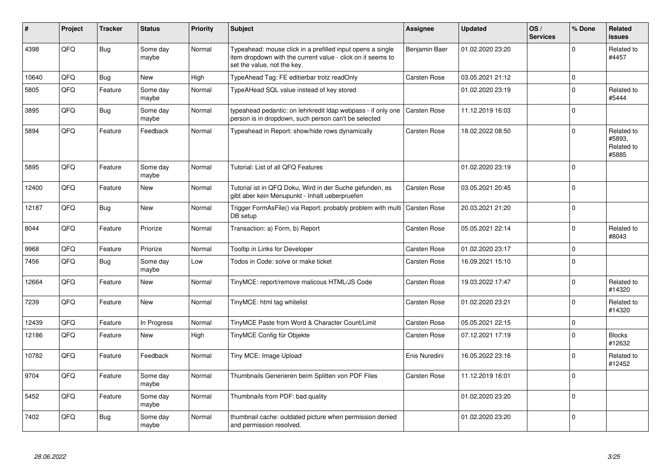| #     | Project | <b>Tracker</b> | <b>Status</b>     | <b>Priority</b> | <b>Subject</b>                                                                                                                                           | Assignee            | <b>Updated</b>   | OS/<br><b>Services</b> | % Done      | Related<br><b>issues</b>                    |
|-------|---------|----------------|-------------------|-----------------|----------------------------------------------------------------------------------------------------------------------------------------------------------|---------------------|------------------|------------------------|-------------|---------------------------------------------|
| 4398  | QFQ     | <b>Bug</b>     | Some day<br>maybe | Normal          | Typeahead: mouse click in a prefilled input opens a single<br>item dropdown with the current value - click on it seems to<br>set the value, not the key. | Benjamin Baer       | 01.02.2020 23:20 |                        | $\Omega$    | Related to<br>#4457                         |
| 10640 | QFQ     | <b>Bug</b>     | <b>New</b>        | High            | TypeAhead Tag: FE editierbar trotz readOnly                                                                                                              | Carsten Rose        | 03.05.2021 21:12 |                        | $\mathbf 0$ |                                             |
| 5805  | QFQ     | Feature        | Some day<br>maybe | Normal          | TypeAHead SQL value instead of key stored                                                                                                                |                     | 01.02.2020 23:19 |                        | $\mathbf 0$ | Related to<br>#5444                         |
| 3895  | QFQ     | <b>Bug</b>     | Some day<br>maybe | Normal          | typeahead pedantic: on lehrkredit Idap webpass - if only one<br>person is in dropdown, such person can't be selected                                     | <b>Carsten Rose</b> | 11.12.2019 16:03 |                        | $\Omega$    |                                             |
| 5894  | QFQ     | Feature        | Feedback          | Normal          | Typeahead in Report: show/hide rows dynamically                                                                                                          | <b>Carsten Rose</b> | 18.02.2022 08:50 |                        | $\Omega$    | Related to<br>#5893,<br>Related to<br>#5885 |
| 5895  | QFQ     | Feature        | Some day<br>maybe | Normal          | Tutorial: List of all QFQ Features                                                                                                                       |                     | 01.02.2020 23:19 |                        | $\Omega$    |                                             |
| 12400 | QFQ     | Feature        | New               | Normal          | Tutorial ist in QFQ Doku, Wird in der Suche gefunden, es<br>gibt aber kein Menupunkt - Inhalt ueberpruefen                                               | Carsten Rose        | 03.05.2021 20:45 |                        | $\mathbf 0$ |                                             |
| 12187 | QFQ     | <b>Bug</b>     | New               | Normal          | Trigger FormAsFile() via Report: probably problem with multi   Carsten Rose<br>DB setup                                                                  |                     | 20.03.2021 21:20 |                        | $\Omega$    |                                             |
| 8044  | QFQ     | Feature        | Priorize          | Normal          | Transaction: a) Form, b) Report                                                                                                                          | Carsten Rose        | 05.05.2021 22:14 |                        | $\Omega$    | Related to<br>#8043                         |
| 9968  | QFQ     | Feature        | Priorize          | Normal          | Tooltip in Links for Developer                                                                                                                           | Carsten Rose        | 01.02.2020 23:17 |                        | $\mathbf 0$ |                                             |
| 7456  | QFQ     | <b>Bug</b>     | Some day<br>maybe | Low             | Todos in Code: solve or make ticket                                                                                                                      | Carsten Rose        | 16.09.2021 15:10 |                        | 0           |                                             |
| 12664 | QFQ     | Feature        | New               | Normal          | TinyMCE: report/remove malicous HTML/JS Code                                                                                                             | Carsten Rose        | 19.03.2022 17:47 |                        | $\Omega$    | Related to<br>#14320                        |
| 7239  | QFQ     | Feature        | New               | Normal          | TinyMCE: html tag whitelist                                                                                                                              | Carsten Rose        | 01.02.2020 23:21 |                        | $\Omega$    | Related to<br>#14320                        |
| 12439 | QFQ     | Feature        | In Progress       | Normal          | TinyMCE Paste from Word & Character Count/Limit                                                                                                          | Carsten Rose        | 05.05.2021 22:15 |                        | $\pmb{0}$   |                                             |
| 12186 | QFQ     | Feature        | New               | High            | TinyMCE Config für Objekte                                                                                                                               | Carsten Rose        | 07.12.2021 17:19 |                        | $\Omega$    | <b>Blocks</b><br>#12632                     |
| 10782 | QFQ     | Feature        | Feedback          | Normal          | Tiny MCE: Image Upload                                                                                                                                   | Enis Nuredini       | 16.05.2022 23:16 |                        | $\Omega$    | Related to<br>#12452                        |
| 9704  | QFQ     | Feature        | Some day<br>maybe | Normal          | Thumbnails Generieren beim Splitten von PDF Files                                                                                                        | Carsten Rose        | 11.12.2019 16:01 |                        | $\Omega$    |                                             |
| 5452  | QFQ     | Feature        | Some day<br>maybe | Normal          | Thumbnails from PDF: bad quality                                                                                                                         |                     | 01.02.2020 23:20 |                        | $\Omega$    |                                             |
| 7402  | QFQ     | Bug            | Some day<br>maybe | Normal          | thumbnail cache: outdated picture when permission denied<br>and permission resolved.                                                                     |                     | 01.02.2020 23:20 |                        | $\Omega$    |                                             |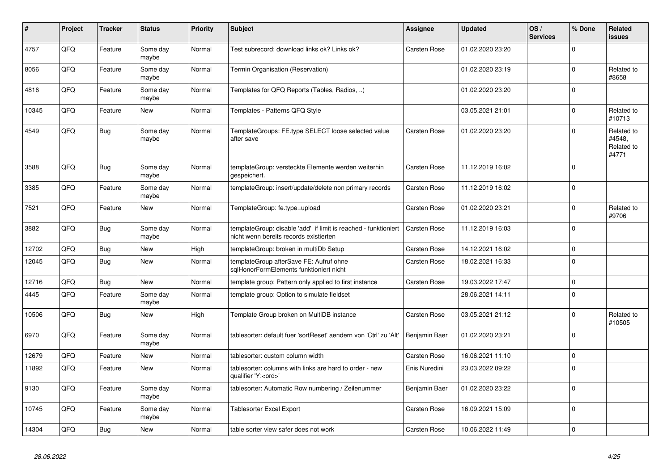| #     | Project | <b>Tracker</b> | <b>Status</b>     | <b>Priority</b> | <b>Subject</b>                                                                                            | Assignee            | <b>Updated</b>   | OS/<br><b>Services</b> | % Done      | Related<br>issues                           |
|-------|---------|----------------|-------------------|-----------------|-----------------------------------------------------------------------------------------------------------|---------------------|------------------|------------------------|-------------|---------------------------------------------|
| 4757  | QFQ     | Feature        | Some day<br>maybe | Normal          | Test subrecord: download links ok? Links ok?                                                              | <b>Carsten Rose</b> | 01.02.2020 23:20 |                        | $\Omega$    |                                             |
| 8056  | QFQ     | Feature        | Some day<br>maybe | Normal          | Termin Organisation (Reservation)                                                                         |                     | 01.02.2020 23:19 |                        | $\Omega$    | Related to<br>#8658                         |
| 4816  | QFQ     | Feature        | Some day<br>maybe | Normal          | Templates for QFQ Reports (Tables, Radios, )                                                              |                     | 01.02.2020 23:20 |                        | $\Omega$    |                                             |
| 10345 | QFQ     | Feature        | <b>New</b>        | Normal          | Templates - Patterns QFQ Style                                                                            |                     | 03.05.2021 21:01 |                        | $\Omega$    | Related to<br>#10713                        |
| 4549  | QFQ     | <b>Bug</b>     | Some day<br>maybe | Normal          | TemplateGroups: FE.type SELECT loose selected value<br>after save                                         | <b>Carsten Rose</b> | 01.02.2020 23:20 |                        | $\Omega$    | Related to<br>#4548,<br>Related to<br>#4771 |
| 3588  | QFQ     | Bug            | Some day<br>maybe | Normal          | templateGroup: versteckte Elemente werden weiterhin<br>gespeichert.                                       | Carsten Rose        | 11.12.2019 16:02 |                        | $\Omega$    |                                             |
| 3385  | QFQ     | Feature        | Some day<br>maybe | Normal          | templateGroup: insert/update/delete non primary records                                                   | Carsten Rose        | 11.12.2019 16:02 |                        | $\Omega$    |                                             |
| 7521  | QFQ     | Feature        | New               | Normal          | TemplateGroup: fe.type=upload                                                                             | Carsten Rose        | 01.02.2020 23:21 |                        | $\mathbf 0$ | Related to<br>#9706                         |
| 3882  | QFQ     | Bug            | Some day<br>maybe | Normal          | templateGroup: disable 'add' if limit is reached - funktioniert<br>nicht wenn bereits records existierten | <b>Carsten Rose</b> | 11.12.2019 16:03 |                        | $\Omega$    |                                             |
| 12702 | QFQ     | <b>Bug</b>     | <b>New</b>        | High            | templateGroup: broken in multiDb Setup                                                                    | Carsten Rose        | 14.12.2021 16:02 |                        | $\Omega$    |                                             |
| 12045 | QFQ     | Bug            | <b>New</b>        | Normal          | templateGroup afterSave FE: Aufruf ohne<br>sglHonorFormElements funktioniert nicht                        | Carsten Rose        | 18.02.2021 16:33 |                        | $\Omega$    |                                             |
| 12716 | QFQ     | Bug            | <b>New</b>        | Normal          | template group: Pattern only applied to first instance                                                    | Carsten Rose        | 19.03.2022 17:47 |                        | $\Omega$    |                                             |
| 4445  | QFQ     | Feature        | Some day<br>maybe | Normal          | template group: Option to simulate fieldset                                                               |                     | 28.06.2021 14:11 |                        | $\Omega$    |                                             |
| 10506 | QFQ     | Bug            | <b>New</b>        | High            | Template Group broken on MultiDB instance                                                                 | Carsten Rose        | 03.05.2021 21:12 |                        | $\Omega$    | Related to<br>#10505                        |
| 6970  | QFQ     | Feature        | Some day<br>maybe | Normal          | tablesorter: default fuer 'sortReset' aendern von 'Ctrl' zu 'Alt'                                         | Benjamin Baer       | 01.02.2020 23:21 |                        | $\Omega$    |                                             |
| 12679 | QFQ     | Feature        | <b>New</b>        | Normal          | tablesorter: custom column width                                                                          | <b>Carsten Rose</b> | 16.06.2021 11:10 |                        | $\mathbf 0$ |                                             |
| 11892 | QFQ     | Feature        | New               | Normal          | tablesorter: columns with links are hard to order - new<br>qualifier 'Y: <ord>'</ord>                     | Enis Nuredini       | 23.03.2022 09:22 |                        | $\mathbf 0$ |                                             |
| 9130  | QFQ     | Feature        | Some day<br>maybe | Normal          | tablesorter: Automatic Row numbering / Zeilenummer                                                        | Benjamin Baer       | 01.02.2020 23:22 |                        | $\Omega$    |                                             |
| 10745 | QFQ     | Feature        | Some day<br>maybe | Normal          | <b>Tablesorter Excel Export</b>                                                                           | Carsten Rose        | 16.09.2021 15:09 |                        | $\Omega$    |                                             |
| 14304 | QFQ     | Bug            | New               | Normal          | table sorter view safer does not work                                                                     | <b>Carsten Rose</b> | 10.06.2022 11:49 |                        | 0 l         |                                             |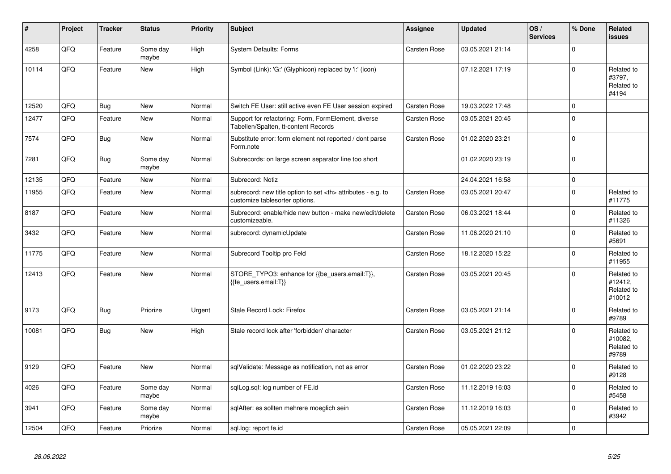| #     | Project | <b>Tracker</b> | <b>Status</b>     | <b>Priority</b> | <b>Subject</b>                                                                                       | Assignee                                               | <b>Updated</b>   | OS/<br><b>Services</b> | % Done         | Related<br><b>issues</b>                      |                      |
|-------|---------|----------------|-------------------|-----------------|------------------------------------------------------------------------------------------------------|--------------------------------------------------------|------------------|------------------------|----------------|-----------------------------------------------|----------------------|
| 4258  | QFQ     | Feature        | Some day<br>maybe | High            | <b>System Defaults: Forms</b>                                                                        | Carsten Rose                                           | 03.05.2021 21:14 |                        | $\overline{0}$ |                                               |                      |
| 10114 | QFQ     | Feature        | New               | High            | Symbol (Link): 'G:' (Glyphicon) replaced by 'i:' (icon)                                              |                                                        | 07.12.2021 17:19 |                        | $\overline{0}$ | Related to<br>#3797,<br>Related to<br>#4194   |                      |
| 12520 | QFQ     | Bug            | New               | Normal          | Switch FE User: still active even FE User session expired                                            | Carsten Rose                                           | 19.03.2022 17:48 |                        | 0              |                                               |                      |
| 12477 | QFQ     | Feature        | <b>New</b>        | Normal          | Support for refactoring: Form, FormElement, diverse<br>Tabellen/Spalten, tt-content Records          | Carsten Rose                                           | 03.05.2021 20:45 |                        | 0              |                                               |                      |
| 7574  | QFQ     | <b>Bug</b>     | <b>New</b>        | Normal          | Substitute error: form element not reported / dont parse<br>Form.note                                | Carsten Rose                                           | 01.02.2020 23:21 |                        | $\overline{0}$ |                                               |                      |
| 7281  | QFQ     | <b>Bug</b>     | Some day<br>maybe | Normal          | Subrecords: on large screen separator line too short                                                 |                                                        | 01.02.2020 23:19 |                        | $\overline{0}$ |                                               |                      |
| 12135 | QFQ     | Feature        | <b>New</b>        | Normal          | Subrecord: Notiz                                                                                     |                                                        | 24.04.2021 16:58 |                        | $\overline{0}$ |                                               |                      |
| 11955 | QFQ     | Feature        | <b>New</b>        | Normal          | subrecord: new title option to set <th> attributes - e.g. to<br/>customize tablesorter options.</th> | attributes - e.g. to<br>customize tablesorter options. | Carsten Rose     | 03.05.2021 20:47       |                | $\overline{0}$                                | Related to<br>#11775 |
| 8187  | QFQ     | Feature        | New               | Normal          | Subrecord: enable/hide new button - make new/edit/delete<br>customizeable.                           | Carsten Rose                                           | 06.03.2021 18:44 |                        | $\Omega$       | Related to<br>#11326                          |                      |
| 3432  | QFQ     | Feature        | New               | Normal          | subrecord: dynamicUpdate                                                                             | Carsten Rose                                           | 11.06.2020 21:10 |                        | 0              | Related to<br>#5691                           |                      |
| 11775 | QFQ     | Feature        | New               | Normal          | Subrecord Tooltip pro Feld                                                                           | Carsten Rose                                           | 18.12.2020 15:22 |                        | 0              | Related to<br>#11955                          |                      |
| 12413 | QFQ     | Feature        | <b>New</b>        | Normal          | STORE_TYPO3: enhance for {{be_users.email:T}},<br>{{fe users.email:T}}                               | <b>Carsten Rose</b>                                    | 03.05.2021 20:45 |                        | $\Omega$       | Related to<br>#12412,<br>Related to<br>#10012 |                      |
| 9173  | QFQ     | <b>Bug</b>     | Priorize          | Urgent          | Stale Record Lock: Firefox                                                                           | Carsten Rose                                           | 03.05.2021 21:14 |                        | $\overline{0}$ | Related to<br>#9789                           |                      |
| 10081 | QFQ     | Bug            | New               | High            | Stale record lock after 'forbidden' character                                                        | <b>Carsten Rose</b>                                    | 03.05.2021 21:12 |                        | $\mathbf 0$    | Related to<br>#10082.<br>Related to<br>#9789  |                      |
| 9129  | QFQ     | Feature        | <b>New</b>        | Normal          | sqlValidate: Message as notification, not as error                                                   | <b>Carsten Rose</b>                                    | 01.02.2020 23:22 |                        | $\overline{0}$ | Related to<br>#9128                           |                      |
| 4026  | QFQ     | Feature        | Some day<br>maybe | Normal          | sqlLog.sql: log number of FE.id                                                                      | Carsten Rose                                           | 11.12.2019 16:03 |                        | 0              | Related to<br>#5458                           |                      |
| 3941  | QFQ     | Feature        | Some day<br>maybe | Normal          | sqlAfter: es sollten mehrere moeglich sein                                                           | <b>Carsten Rose</b>                                    | 11.12.2019 16:03 |                        | $\overline{0}$ | Related to<br>#3942                           |                      |
| 12504 | QFQ     | Feature        | Priorize          | Normal          | sql.log: report fe.id                                                                                | <b>Carsten Rose</b>                                    | 05.05.2021 22:09 |                        | $\overline{0}$ |                                               |                      |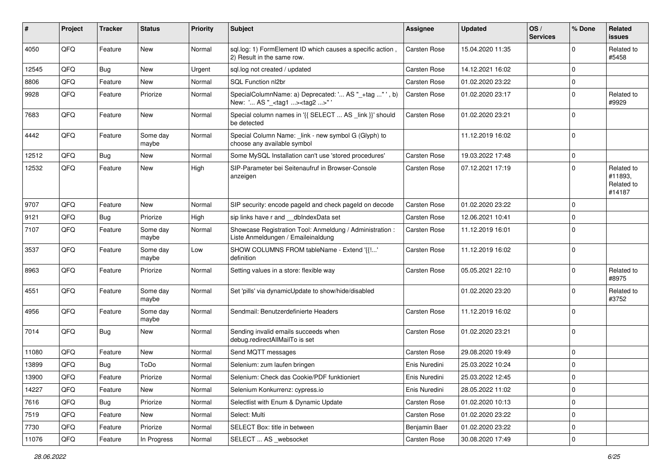| ∦     | Project | <b>Tracker</b> | <b>Status</b>     | <b>Priority</b> | <b>Subject</b>                                                                                    | <b>Assignee</b>     | <b>Updated</b>   | OS/<br><b>Services</b> | % Done      | Related<br>issues                             |
|-------|---------|----------------|-------------------|-----------------|---------------------------------------------------------------------------------------------------|---------------------|------------------|------------------------|-------------|-----------------------------------------------|
| 4050  | QFQ     | Feature        | New               | Normal          | sql.log: 1) FormElement ID which causes a specific action,<br>2) Result in the same row.          | <b>Carsten Rose</b> | 15.04.2020 11:35 |                        | $\Omega$    | Related to<br>#5458                           |
| 12545 | QFQ     | Bug            | New               | Urgent          | sql.log not created / updated                                                                     | Carsten Rose        | 14.12.2021 16:02 |                        | $\Omega$    |                                               |
| 8806  | QFQ     | Feature        | New               | Normal          | <b>SQL Function nl2br</b>                                                                         | Carsten Rose        | 01.02.2020 23:22 |                        | 0           |                                               |
| 9928  | QFQ     | Feature        | Priorize          | Normal          | SpecialColumnName: a) Deprecated: ' AS "_+tag " ', b)<br>New: ' AS "_ <tag1><tag2>"</tag2></tag1> | Carsten Rose        | 01.02.2020 23:17 |                        | $\Omega$    | Related to<br>#9929                           |
| 7683  | QFQ     | Feature        | New               | Normal          | Special column names in '{{ SELECT  AS _link }}' should<br>be detected                            | Carsten Rose        | 01.02.2020 23:21 |                        | $\mathbf 0$ |                                               |
| 4442  | QFQ     | Feature        | Some day<br>maybe | Normal          | Special Column Name: _link - new symbol G (Glyph) to<br>choose any available symbol               |                     | 11.12.2019 16:02 |                        | 0           |                                               |
| 12512 | QFQ     | Bug            | <b>New</b>        | Normal          | Some MySQL Installation can't use 'stored procedures'                                             | Carsten Rose        | 19.03.2022 17:48 |                        | $\mathbf 0$ |                                               |
| 12532 | QFQ     | Feature        | New               | High            | SIP-Parameter bei Seitenaufruf in Browser-Console<br>anzeigen                                     | Carsten Rose        | 07.12.2021 17:19 |                        | $\Omega$    | Related to<br>#11893.<br>Related to<br>#14187 |
| 9707  | QFQ     | Feature        | New               | Normal          | SIP security: encode pageld and check pageld on decode                                            | Carsten Rose        | 01.02.2020 23:22 |                        | $\Omega$    |                                               |
| 9121  | QFQ     | <b>Bug</b>     | Priorize          | High            | sip links have r and __dbIndexData set                                                            | Carsten Rose        | 12.06.2021 10:41 |                        | $\Omega$    |                                               |
| 7107  | QFQ     | Feature        | Some day<br>maybe | Normal          | Showcase Registration Tool: Anmeldung / Administration :<br>Liste Anmeldungen / Emaileinaldung    | Carsten Rose        | 11.12.2019 16:01 |                        | 0           |                                               |
| 3537  | QFQ     | Feature        | Some day<br>maybe | Low             | SHOW COLUMNS FROM tableName - Extend '{{!'<br>definition                                          | Carsten Rose        | 11.12.2019 16:02 |                        | 0           |                                               |
| 8963  | QFQ     | Feature        | Priorize          | Normal          | Setting values in a store: flexible way                                                           | Carsten Rose        | 05.05.2021 22:10 |                        | $\Omega$    | Related to<br>#8975                           |
| 4551  | QFQ     | Feature        | Some day<br>maybe | Normal          | Set 'pills' via dynamicUpdate to show/hide/disabled                                               |                     | 01.02.2020 23:20 |                        | $\Omega$    | Related to<br>#3752                           |
| 4956  | QFQ     | Feature        | Some day<br>maybe | Normal          | Sendmail: Benutzerdefinierte Headers                                                              | Carsten Rose        | 11.12.2019 16:02 |                        | $\Omega$    |                                               |
| 7014  | QFQ     | Bug            | New               | Normal          | Sending invalid emails succeeds when<br>debug.redirectAllMailTo is set                            | Carsten Rose        | 01.02.2020 23:21 |                        | $\Omega$    |                                               |
| 11080 | QFQ     | Feature        | New               | Normal          | Send MQTT messages                                                                                | Carsten Rose        | 29.08.2020 19:49 |                        | $\Omega$    |                                               |
| 13899 | QFQ     | Bug            | ToDo              | Normal          | Selenium: zum laufen bringen                                                                      | Enis Nuredini       | 25.03.2022 10:24 |                        | $\mathbf 0$ |                                               |
| 13900 | QFQ     | Feature        | Priorize          | Normal          | Selenium: Check das Cookie/PDF funktioniert                                                       | Enis Nuredini       | 25.03.2022 12:45 |                        | $\Omega$    |                                               |
| 14227 | QFQ     | Feature        | New               | Normal          | Selenium Konkurrenz: cypress.io                                                                   | Enis Nuredini       | 28.05.2022 11:02 |                        | $\mathbf 0$ |                                               |
| 7616  | QFQ     | Bug            | Priorize          | Normal          | Selectlist with Enum & Dynamic Update                                                             | Carsten Rose        | 01.02.2020 10:13 |                        | $\mathbf 0$ |                                               |
| 7519  | QFQ     | Feature        | New               | Normal          | Select: Multi                                                                                     | Carsten Rose        | 01.02.2020 23:22 |                        | 0           |                                               |
| 7730  | QFQ     | Feature        | Priorize          | Normal          | SELECT Box: title in between                                                                      | Benjamin Baer       | 01.02.2020 23:22 |                        | 0           |                                               |
| 11076 | QFQ     | Feature        | In Progress       | Normal          | SELECT  AS _websocket                                                                             | Carsten Rose        | 30.08.2020 17:49 |                        | 0           |                                               |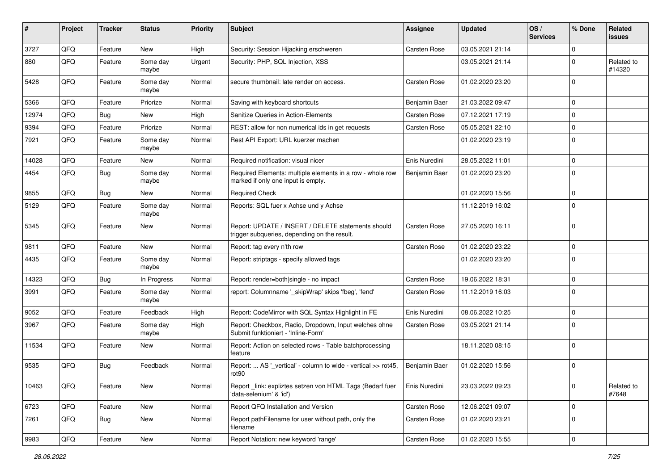| #     | Project | <b>Tracker</b> | <b>Status</b>     | <b>Priority</b> | Subject                                                                                            | <b>Assignee</b> | <b>Updated</b>   | OS/<br><b>Services</b> | % Done      | Related<br>issues    |
|-------|---------|----------------|-------------------|-----------------|----------------------------------------------------------------------------------------------------|-----------------|------------------|------------------------|-------------|----------------------|
| 3727  | QFQ     | Feature        | <b>New</b>        | High            | Security: Session Hijacking erschweren                                                             | Carsten Rose    | 03.05.2021 21:14 |                        | $\Omega$    |                      |
| 880   | QFQ     | Feature        | Some day<br>maybe | Urgent          | Security: PHP, SQL Injection, XSS                                                                  |                 | 03.05.2021 21:14 |                        | $\Omega$    | Related to<br>#14320 |
| 5428  | QFQ     | Feature        | Some day<br>maybe | Normal          | secure thumbnail: late render on access.                                                           | Carsten Rose    | 01.02.2020 23:20 |                        | $\Omega$    |                      |
| 5366  | QFQ     | Feature        | Priorize          | Normal          | Saving with keyboard shortcuts                                                                     | Benjamin Baer   | 21.03.2022 09:47 |                        | $\Omega$    |                      |
| 12974 | QFQ     | Bug            | New               | High            | Sanitize Queries in Action-Elements                                                                | Carsten Rose    | 07.12.2021 17:19 |                        | $\mathbf 0$ |                      |
| 9394  | QFQ     | Feature        | Priorize          | Normal          | REST: allow for non numerical ids in get requests                                                  | Carsten Rose    | 05.05.2021 22:10 |                        | $\Omega$    |                      |
| 7921  | QFQ     | Feature        | Some day<br>maybe | Normal          | Rest API Export: URL kuerzer machen                                                                |                 | 01.02.2020 23:19 |                        | 0           |                      |
| 14028 | QFQ     | Feature        | New               | Normal          | Required notification: visual nicer                                                                | Enis Nuredini   | 28.05.2022 11:01 |                        | $\mathbf 0$ |                      |
| 4454  | QFQ     | Bug            | Some day<br>maybe | Normal          | Required Elements: multiple elements in a row - whole row<br>marked if only one input is empty.    | Benjamin Baer   | 01.02.2020 23:20 |                        | $\Omega$    |                      |
| 9855  | QFQ     | Bug            | <b>New</b>        | Normal          | <b>Required Check</b>                                                                              |                 | 01.02.2020 15:56 |                        | $\Omega$    |                      |
| 5129  | QFQ     | Feature        | Some day<br>maybe | Normal          | Reports: SQL fuer x Achse und y Achse                                                              |                 | 11.12.2019 16:02 |                        | $\Omega$    |                      |
| 5345  | QFQ     | Feature        | <b>New</b>        | Normal          | Report: UPDATE / INSERT / DELETE statements should<br>trigger subqueries, depending on the result. | Carsten Rose    | 27.05.2020 16:11 |                        | $\Omega$    |                      |
| 9811  | QFQ     | Feature        | <b>New</b>        | Normal          | Report: tag every n'th row                                                                         | Carsten Rose    | 01.02.2020 23:22 |                        | $\Omega$    |                      |
| 4435  | QFQ     | Feature        | Some day<br>maybe | Normal          | Report: striptags - specify allowed tags                                                           |                 | 01.02.2020 23:20 |                        | $\Omega$    |                      |
| 14323 | QFQ     | Bug            | In Progress       | Normal          | Report: render=both single - no impact                                                             | Carsten Rose    | 19.06.2022 18:31 |                        | $\mathbf 0$ |                      |
| 3991  | QFQ     | Feature        | Some day<br>maybe | Normal          | report: Columnname '_skipWrap' skips 'fbeg', 'fend'                                                | Carsten Rose    | 11.12.2019 16:03 |                        | $\Omega$    |                      |
| 9052  | QFQ     | Feature        | Feedback          | High            | Report: CodeMirror with SQL Syntax Highlight in FE                                                 | Enis Nuredini   | 08.06.2022 10:25 |                        | $\Omega$    |                      |
| 3967  | QFQ     | Feature        | Some day<br>maybe | High            | Report: Checkbox, Radio, Dropdown, Input welches ohne<br>Submit funktioniert - 'Inline-Form'       | Carsten Rose    | 03.05.2021 21:14 |                        | $\mathbf 0$ |                      |
| 11534 | QFQ     | Feature        | New               | Normal          | Report: Action on selected rows - Table batchprocessing<br>feature                                 |                 | 18.11.2020 08:15 |                        | $\mathbf 0$ |                      |
| 9535  | QFQ     | Bug            | Feedback          | Normal          | Report:  AS '_vertical' - column to wide - vertical >> rot45,<br>rot90                             | Benjamin Baer   | 01.02.2020 15:56 |                        | $\mathbf 0$ |                      |
| 10463 | QFQ     | Feature        | New               | Normal          | Report link: expliztes setzen von HTML Tags (Bedarf fuer<br>'data-selenium' & 'id')                | Enis Nuredini   | 23.03.2022 09:23 |                        | 0           | Related to<br>#7648  |
| 6723  | QFQ     | Feature        | New               | Normal          | Report QFQ Installation and Version                                                                | Carsten Rose    | 12.06.2021 09:07 |                        | $\mathbf 0$ |                      |
| 7261  | QFQ     | <b>Bug</b>     | New               | Normal          | Report pathFilename for user without path, only the<br>filename                                    | Carsten Rose    | 01.02.2020 23:21 |                        | 0           |                      |
| 9983  | QFQ     | Feature        | New               | Normal          | Report Notation: new keyword 'range'                                                               | Carsten Rose    | 01.02.2020 15:55 |                        | 0           |                      |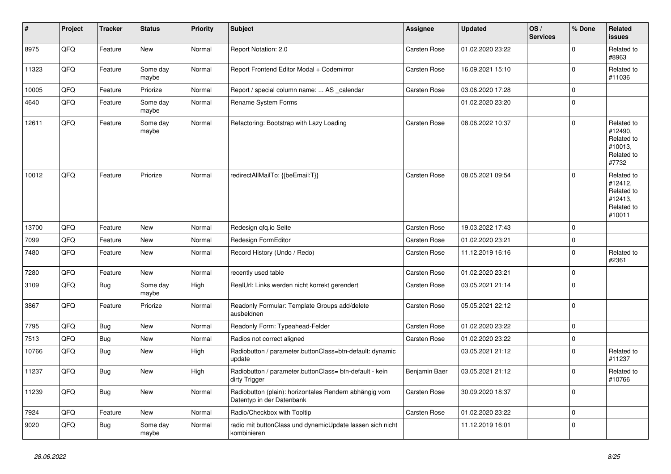| ∦     | Project | <b>Tracker</b> | <b>Status</b>     | <b>Priority</b> | <b>Subject</b>                                                                      | <b>Assignee</b>     | <b>Updated</b>   | OS/<br><b>Services</b> | % Done      | Related<br><b>issues</b>                                               |
|-------|---------|----------------|-------------------|-----------------|-------------------------------------------------------------------------------------|---------------------|------------------|------------------------|-------------|------------------------------------------------------------------------|
| 8975  | QFQ     | Feature        | New               | Normal          | Report Notation: 2.0                                                                | <b>Carsten Rose</b> | 01.02.2020 23:22 |                        | $\mathbf 0$ | Related to<br>#8963                                                    |
| 11323 | QFQ     | Feature        | Some day<br>maybe | Normal          | Report Frontend Editor Modal + Codemirror                                           | Carsten Rose        | 16.09.2021 15:10 |                        | $\pmb{0}$   | Related to<br>#11036                                                   |
| 10005 | QFQ     | Feature        | Priorize          | Normal          | Report / special column name:  AS _calendar                                         | <b>Carsten Rose</b> | 03.06.2020 17:28 |                        | $\mathbf 0$ |                                                                        |
| 4640  | QFQ     | Feature        | Some day<br>maybe | Normal          | Rename System Forms                                                                 |                     | 01.02.2020 23:20 |                        | $\mathbf 0$ |                                                                        |
| 12611 | QFQ     | Feature        | Some day<br>maybe | Normal          | Refactoring: Bootstrap with Lazy Loading                                            | <b>Carsten Rose</b> | 08.06.2022 10:37 |                        | $\mathbf 0$ | Related to<br>#12490,<br>Related to<br>#10013.<br>Related to<br>#7732  |
| 10012 | QFQ     | Feature        | Priorize          | Normal          | redirectAllMailTo: {{beEmail:T}}                                                    | <b>Carsten Rose</b> | 08.05.2021 09:54 |                        | $\mathbf 0$ | Related to<br>#12412,<br>Related to<br>#12413,<br>Related to<br>#10011 |
| 13700 | QFQ     | Feature        | <b>New</b>        | Normal          | Redesign gfg.io Seite                                                               | <b>Carsten Rose</b> | 19.03.2022 17:43 |                        | $\mathbf 0$ |                                                                        |
| 7099  | QFQ     | Feature        | New               | Normal          | Redesign FormEditor                                                                 | <b>Carsten Rose</b> | 01.02.2020 23:21 |                        | $\mathbf 0$ |                                                                        |
| 7480  | QFQ     | Feature        | <b>New</b>        | Normal          | Record History (Undo / Redo)                                                        | <b>Carsten Rose</b> | 11.12.2019 16:16 |                        | $\mathbf 0$ | Related to<br>#2361                                                    |
| 7280  | QFQ     | Feature        | <b>New</b>        | Normal          | recently used table                                                                 | Carsten Rose        | 01.02.2020 23:21 |                        | $\pmb{0}$   |                                                                        |
| 3109  | QFQ     | Bug            | Some day<br>maybe | High            | RealUrl: Links werden nicht korrekt gerendert                                       | Carsten Rose        | 03.05.2021 21:14 |                        | $\mathbf 0$ |                                                                        |
| 3867  | QFQ     | Feature        | Priorize          | Normal          | Readonly Formular: Template Groups add/delete<br>ausbeldnen                         | <b>Carsten Rose</b> | 05.05.2021 22:12 |                        | $\Omega$    |                                                                        |
| 7795  | QFQ     | <b>Bug</b>     | New               | Normal          | Readonly Form: Typeahead-Felder                                                     | Carsten Rose        | 01.02.2020 23:22 |                        | $\mathbf 0$ |                                                                        |
| 7513  | QFQ     | <b>Bug</b>     | New               | Normal          | Radios not correct aligned                                                          | Carsten Rose        | 01.02.2020 23:22 |                        | $\mathbf 0$ |                                                                        |
| 10766 | QFQ     | <b>Bug</b>     | New               | High            | Radiobutton / parameter.buttonClass=btn-default: dynamic<br>update                  |                     | 03.05.2021 21:12 |                        | $\mathbf 0$ | Related to<br>#11237                                                   |
| 11237 | QFQ     | Bug            | New               | High            | Radiobutton / parameter.buttonClass= btn-default - kein<br>dirty Trigger            | Benjamin Baer       | 03.05.2021 21:12 |                        | $\mathbf 0$ | Related to<br>#10766                                                   |
| 11239 | QFQ     | <b>Bug</b>     | New               | Normal          | Radiobutton (plain): horizontales Rendern abhängig vom<br>Datentyp in der Datenbank | Carsten Rose        | 30.09.2020 18:37 |                        | $\mathbf 0$ |                                                                        |
| 7924  | QFQ     | Feature        | New               | Normal          | Radio/Checkbox with Tooltip                                                         | Carsten Rose        | 01.02.2020 23:22 |                        | $\pmb{0}$   |                                                                        |
| 9020  | QFQ     | <b>Bug</b>     | Some day<br>maybe | Normal          | radio mit buttonClass und dynamicUpdate lassen sich nicht<br>kombinieren            |                     | 11.12.2019 16:01 |                        | $\mathbf 0$ |                                                                        |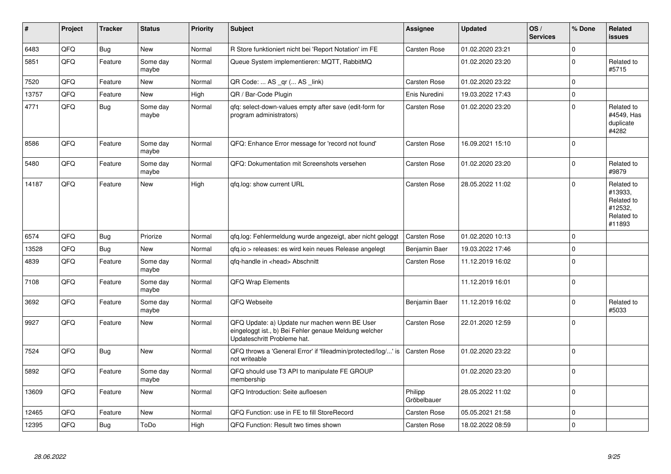| $\vert$ # | Project | <b>Tracker</b> | <b>Status</b>     | <b>Priority</b> | <b>Subject</b>                                                                                                                        | <b>Assignee</b>        | <b>Updated</b>   | OS/<br><b>Services</b> | % Done      | Related<br><b>issues</b>                                               |
|-----------|---------|----------------|-------------------|-----------------|---------------------------------------------------------------------------------------------------------------------------------------|------------------------|------------------|------------------------|-------------|------------------------------------------------------------------------|
| 6483      | QFQ     | <b>Bug</b>     | New               | Normal          | R Store funktioniert nicht bei 'Report Notation' im FE                                                                                | Carsten Rose           | 01.02.2020 23:21 |                        | $\Omega$    |                                                                        |
| 5851      | QFQ     | Feature        | Some day<br>maybe | Normal          | Queue System implementieren: MQTT, RabbitMQ                                                                                           |                        | 01.02.2020 23:20 |                        | $\Omega$    | Related to<br>#5715                                                    |
| 7520      | QFQ     | Feature        | New               | Normal          | QR Code:  AS _qr ( AS _link)                                                                                                          | <b>Carsten Rose</b>    | 01.02.2020 23:22 |                        | $\mathbf 0$ |                                                                        |
| 13757     | QFQ     | Feature        | New               | High            | QR / Bar-Code Plugin                                                                                                                  | Enis Nuredini          | 19.03.2022 17:43 |                        | $\mathbf 0$ |                                                                        |
| 4771      | QFQ     | <b>Bug</b>     | Some day<br>maybe | Normal          | qfq: select-down-values empty after save (edit-form for<br>program administrators)                                                    | Carsten Rose           | 01.02.2020 23:20 |                        | $\Omega$    | Related to<br>#4549, Has<br>duplicate<br>#4282                         |
| 8586      | QFQ     | Feature        | Some day<br>maybe | Normal          | QFQ: Enhance Error message for 'record not found'                                                                                     | <b>Carsten Rose</b>    | 16.09.2021 15:10 |                        | $\Omega$    |                                                                        |
| 5480      | QFQ     | Feature        | Some day<br>maybe | Normal          | QFQ: Dokumentation mit Screenshots versehen                                                                                           | <b>Carsten Rose</b>    | 01.02.2020 23:20 |                        | $\Omega$    | Related to<br>#9879                                                    |
| 14187     | QFQ     | Feature        | <b>New</b>        | High            | gfg.log: show current URL                                                                                                             | <b>Carsten Rose</b>    | 28.05.2022 11:02 |                        | $\Omega$    | Related to<br>#13933,<br>Related to<br>#12532,<br>Related to<br>#11893 |
| 6574      | QFQ     | Bug            | Priorize          | Normal          | qfq.log: Fehlermeldung wurde angezeigt, aber nicht geloggt                                                                            | <b>Carsten Rose</b>    | 01.02.2020 10:13 |                        | $\Omega$    |                                                                        |
| 13528     | QFQ     | Bug            | <b>New</b>        | Normal          | gfg.io > releases: es wird kein neues Release angelegt                                                                                | Benjamin Baer          | 19.03.2022 17:46 |                        | $\mathbf 0$ |                                                                        |
| 4839      | QFQ     | Feature        | Some day<br>maybe | Normal          | qfq-handle in <head> Abschnitt</head>                                                                                                 | <b>Carsten Rose</b>    | 11.12.2019 16:02 |                        | $\Omega$    |                                                                        |
| 7108      | QFQ     | Feature        | Some day<br>maybe | Normal          | <b>QFQ Wrap Elements</b>                                                                                                              |                        | 11.12.2019 16:01 |                        | $\mathbf 0$ |                                                                        |
| 3692      | QFQ     | Feature        | Some day<br>maybe | Normal          | QFQ Webseite                                                                                                                          | Benjamin Baer          | 11.12.2019 16:02 |                        | $\Omega$    | Related to<br>#5033                                                    |
| 9927      | QFQ     | Feature        | <b>New</b>        | Normal          | QFQ Update: a) Update nur machen wenn BE User<br>eingeloggt ist., b) Bei Fehler genaue Meldung welcher<br>Updateschritt Probleme hat. | <b>Carsten Rose</b>    | 22.01.2020 12:59 |                        | $\mathbf 0$ |                                                                        |
| 7524      | QFQ     | <b>Bug</b>     | <b>New</b>        | Normal          | QFQ throws a 'General Error' if 'fileadmin/protected/log/' is<br>not writeable                                                        | Carsten Rose           | 01.02.2020 23:22 |                        | $\Omega$    |                                                                        |
| 5892      | QFQ     | Feature        | Some day<br>maybe | Normal          | QFQ should use T3 API to manipulate FE GROUP<br>membership                                                                            |                        | 01.02.2020 23:20 |                        | $\mathbf 0$ |                                                                        |
| 13609     | QFQ     | Feature        | New               | Normal          | QFQ Introduction: Seite aufloesen                                                                                                     | Philipp<br>Gröbelbauer | 28.05.2022 11:02 |                        | $\mathbf 0$ |                                                                        |
| 12465     | QFQ     | Feature        | New               | Normal          | QFQ Function: use in FE to fill StoreRecord                                                                                           | <b>Carsten Rose</b>    | 05.05.2021 21:58 |                        | $\mathbf 0$ |                                                                        |
| 12395     | QFQ     | <b>Bug</b>     | ToDo              | High            | QFQ Function: Result two times shown                                                                                                  | <b>Carsten Rose</b>    | 18.02.2022 08:59 |                        | $\mathbf 0$ |                                                                        |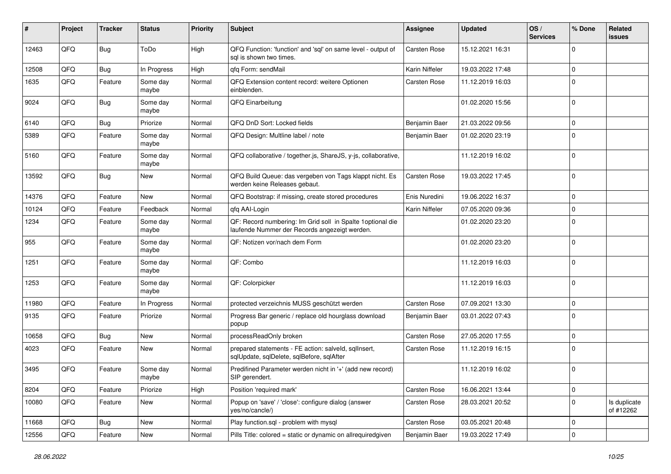| #     | Project | <b>Tracker</b> | <b>Status</b>     | <b>Priority</b> | <b>Subject</b>                                                                                               | <b>Assignee</b> | <b>Updated</b>   | OS/<br><b>Services</b> | % Done      | Related<br>issues         |
|-------|---------|----------------|-------------------|-----------------|--------------------------------------------------------------------------------------------------------------|-----------------|------------------|------------------------|-------------|---------------------------|
| 12463 | QFQ     | Bug            | ToDo              | High            | QFQ Function: 'function' and 'sql' on same level - output of<br>sal is shown two times.                      | Carsten Rose    | 15.12.2021 16:31 |                        | $\Omega$    |                           |
| 12508 | QFQ     | Bug            | In Progress       | High            | qfq Form: sendMail                                                                                           | Karin Niffeler  | 19.03.2022 17:48 |                        | $\mathbf 0$ |                           |
| 1635  | QFQ     | Feature        | Some day<br>maybe | Normal          | QFQ Extension content record: weitere Optionen<br>einblenden.                                                | Carsten Rose    | 11.12.2019 16:03 |                        | $\Omega$    |                           |
| 9024  | QFQ     | Bug            | Some day<br>maybe | Normal          | QFQ Einarbeitung                                                                                             |                 | 01.02.2020 15:56 |                        | $\Omega$    |                           |
| 6140  | QFQ     | Bug            | Priorize          | Normal          | QFQ DnD Sort: Locked fields                                                                                  | Benjamin Baer   | 21.03.2022 09:56 |                        | $\Omega$    |                           |
| 5389  | QFQ     | Feature        | Some day<br>maybe | Normal          | QFQ Design: Multline label / note                                                                            | Benjamin Baer   | 01.02.2020 23:19 |                        | $\mathbf 0$ |                           |
| 5160  | QFQ     | Feature        | Some day<br>maybe | Normal          | QFQ collaborative / together.js, ShareJS, y-js, collaborative,                                               |                 | 11.12.2019 16:02 |                        | $\mathbf 0$ |                           |
| 13592 | QFQ     | Bug            | New               | Normal          | QFQ Build Queue: das vergeben von Tags klappt nicht. Es<br>werden keine Releases gebaut.                     | Carsten Rose    | 19.03.2022 17:45 |                        | $\Omega$    |                           |
| 14376 | QFQ     | Feature        | <b>New</b>        | Normal          | QFQ Bootstrap: if missing, create stored procedures                                                          | Enis Nuredini   | 19.06.2022 16:37 |                        | $\mathbf 0$ |                           |
| 10124 | QFQ     | Feature        | Feedback          | Normal          | qfq AAI-Login                                                                                                | Karin Niffeler  | 07.05.2020 09:36 |                        | 0           |                           |
| 1234  | QFQ     | Feature        | Some day<br>maybe | Normal          | QF: Record numbering: Im Grid soll in Spalte 1 optional die<br>laufende Nummer der Records angezeigt werden. |                 | 01.02.2020 23:20 |                        | $\Omega$    |                           |
| 955   | QFQ     | Feature        | Some day<br>maybe | Normal          | QF: Notizen vor/nach dem Form                                                                                |                 | 01.02.2020 23:20 |                        | $\Omega$    |                           |
| 1251  | QFQ     | Feature        | Some day<br>maybe | Normal          | QF: Combo                                                                                                    |                 | 11.12.2019 16:03 |                        | $\Omega$    |                           |
| 1253  | QFQ     | Feature        | Some day<br>maybe | Normal          | QF: Colorpicker                                                                                              |                 | 11.12.2019 16:03 |                        | $\Omega$    |                           |
| 11980 | QFQ     | Feature        | In Progress       | Normal          | protected verzeichnis MUSS geschützt werden                                                                  | Carsten Rose    | 07.09.2021 13:30 |                        | $\Omega$    |                           |
| 9135  | QFQ     | Feature        | Priorize          | Normal          | Progress Bar generic / replace old hourglass download<br>popup                                               | Benjamin Baer   | 03.01.2022 07:43 |                        | $\mathbf 0$ |                           |
| 10658 | QFQ     | Bug            | <b>New</b>        | Normal          | processReadOnly broken                                                                                       | Carsten Rose    | 27.05.2020 17:55 |                        | $\Omega$    |                           |
| 4023  | QFQ     | Feature        | New               | Normal          | prepared statements - FE action: salveld, sqllnsert,<br>sqlUpdate, sqlDelete, sqlBefore, sqlAfter            | Carsten Rose    | 11.12.2019 16:15 |                        | $\Omega$    |                           |
| 3495  | QFQ     | Feature        | Some day<br>maybe | Normal          | Predifined Parameter werden nicht in '+' (add new record)<br>SIP gerendert.                                  |                 | 11.12.2019 16:02 |                        | $\Omega$    |                           |
| 8204  | QFQ     | Feature        | Priorize          | High            | Position 'required mark'                                                                                     | Carsten Rose    | 16.06.2021 13:44 |                        | 0           |                           |
| 10080 | QFQ     | Feature        | New               | Normal          | Popup on 'save' / 'close': configure dialog (answer<br>yes/no/cancle/)                                       | Carsten Rose    | 28.03.2021 20:52 |                        | $\mathbf 0$ | Is duplicate<br>of #12262 |
| 11668 | QFQ     | Bug            | New               | Normal          | Play function.sql - problem with mysql                                                                       | Carsten Rose    | 03.05.2021 20:48 |                        | 0           |                           |
| 12556 | QFQ     | Feature        | New               | Normal          | Pills Title: colored = static or dynamic on allrequiredgiven                                                 | Benjamin Baer   | 19.03.2022 17:49 |                        | 0           |                           |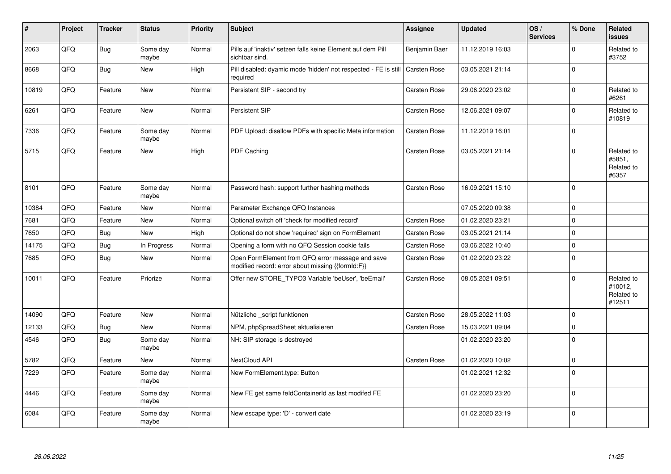| #     | Project | <b>Tracker</b> | <b>Status</b>     | <b>Priority</b> | <b>Subject</b>                                                                                        | <b>Assignee</b>     | <b>Updated</b>   | OS/<br><b>Services</b> | % Done         | Related<br><b>issues</b>                      |
|-------|---------|----------------|-------------------|-----------------|-------------------------------------------------------------------------------------------------------|---------------------|------------------|------------------------|----------------|-----------------------------------------------|
| 2063  | QFQ     | <b>Bug</b>     | Some day<br>maybe | Normal          | Pills auf 'inaktiv' setzen falls keine Element auf dem Pill<br>sichtbar sind.                         | Benjamin Baer       | 11.12.2019 16:03 |                        | $\Omega$       | Related to<br>#3752                           |
| 8668  | QFQ     | Bug            | New               | High            | Pill disabled: dyamic mode 'hidden' not respected - FE is still<br>required                           | <b>Carsten Rose</b> | 03.05.2021 21:14 |                        | $\Omega$       |                                               |
| 10819 | QFQ     | Feature        | <b>New</b>        | Normal          | Persistent SIP - second try                                                                           | Carsten Rose        | 29.06.2020 23:02 |                        | $\mathbf 0$    | Related to<br>#6261                           |
| 6261  | QFQ     | Feature        | <b>New</b>        | Normal          | Persistent SIP                                                                                        | Carsten Rose        | 12.06.2021 09:07 |                        | $\Omega$       | Related to<br>#10819                          |
| 7336  | QFQ     | Feature        | Some day<br>maybe | Normal          | PDF Upload: disallow PDFs with specific Meta information                                              | Carsten Rose        | 11.12.2019 16:01 |                        | $\Omega$       |                                               |
| 5715  | QFQ     | Feature        | <b>New</b>        | High            | PDF Caching                                                                                           | Carsten Rose        | 03.05.2021 21:14 |                        | $\Omega$       | Related to<br>#5851,<br>Related to<br>#6357   |
| 8101  | QFQ     | Feature        | Some day<br>maybe | Normal          | Password hash: support further hashing methods                                                        | Carsten Rose        | 16.09.2021 15:10 |                        | $\overline{0}$ |                                               |
| 10384 | QFQ     | Feature        | <b>New</b>        | Normal          | Parameter Exchange QFQ Instances                                                                      |                     | 07.05.2020 09:38 |                        | $\mathbf 0$    |                                               |
| 7681  | QFQ     | Feature        | <b>New</b>        | Normal          | Optional switch off 'check for modified record'                                                       | Carsten Rose        | 01.02.2020 23:21 |                        | $\mathbf 0$    |                                               |
| 7650  | QFQ     | Bug            | <b>New</b>        | High            | Optional do not show 'required' sign on FormElement                                                   | Carsten Rose        | 03.05.2021 21:14 |                        | 0              |                                               |
| 14175 | QFQ     | Bug            | In Progress       | Normal          | Opening a form with no QFQ Session cookie fails                                                       | Carsten Rose        | 03.06.2022 10:40 |                        | $\mathbf 0$    |                                               |
| 7685  | QFQ     | Bug            | New               | Normal          | Open FormElement from QFQ error message and save<br>modified record: error about missing {{formId:F}} | Carsten Rose        | 01.02.2020 23:22 |                        | $\mathbf 0$    |                                               |
| 10011 | QFQ     | Feature        | Priorize          | Normal          | Offer new STORE TYPO3 Variable 'beUser', 'beEmail'                                                    | Carsten Rose        | 08.05.2021 09:51 |                        | $\Omega$       | Related to<br>#10012,<br>Related to<br>#12511 |
| 14090 | QFQ     | Feature        | <b>New</b>        | Normal          | Nützliche _script funktionen                                                                          | Carsten Rose        | 28.05.2022 11:03 |                        | 0              |                                               |
| 12133 | QFQ     | Bug            | New               | Normal          | NPM, phpSpreadSheet aktualisieren                                                                     | Carsten Rose        | 15.03.2021 09:04 |                        | $\mathbf 0$    |                                               |
| 4546  | QFQ     | Bug            | Some day<br>maybe | Normal          | NH: SIP storage is destroyed                                                                          |                     | 01.02.2020 23:20 |                        | $\mathbf 0$    |                                               |
| 5782  | QFQ     | Feature        | New               | Normal          | NextCloud API                                                                                         | Carsten Rose        | 01.02.2020 10:02 |                        | $\mathbf 0$    |                                               |
| 7229  | QFQ     | Feature        | Some day<br>maybe | Normal          | New FormElement.type: Button                                                                          |                     | 01.02.2021 12:32 |                        | $\Omega$       |                                               |
| 4446  | QFQ     | Feature        | Some day<br>maybe | Normal          | New FE get same feldContainerId as last modifed FE                                                    |                     | 01.02.2020 23:20 |                        | $\Omega$       |                                               |
| 6084  | QFQ     | Feature        | Some day<br>maybe | Normal          | New escape type: 'D' - convert date                                                                   |                     | 01.02.2020 23:19 |                        | $\Omega$       |                                               |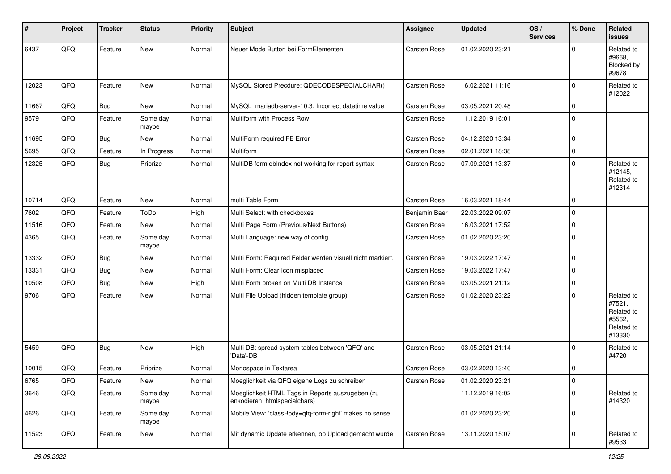| $\sharp$ | Project | <b>Tracker</b> | <b>Status</b>     | <b>Priority</b> | <b>Subject</b>                                                                    | Assignee            | <b>Updated</b>   | OS/<br><b>Services</b> | % Done      | Related<br>issues                                                    |
|----------|---------|----------------|-------------------|-----------------|-----------------------------------------------------------------------------------|---------------------|------------------|------------------------|-------------|----------------------------------------------------------------------|
| 6437     | QFQ     | Feature        | New               | Normal          | Neuer Mode Button bei FormElementen                                               | Carsten Rose        | 01.02.2020 23:21 |                        | $\Omega$    | Related to<br>#9668,<br>Blocked by<br>#9678                          |
| 12023    | QFQ     | Feature        | New               | Normal          | MySQL Stored Precdure: QDECODESPECIALCHAR()                                       | <b>Carsten Rose</b> | 16.02.2021 11:16 |                        | $\mathbf 0$ | Related to<br>#12022                                                 |
| 11667    | QFQ     | <b>Bug</b>     | New               | Normal          | MySQL mariadb-server-10.3: Incorrect datetime value                               | <b>Carsten Rose</b> | 03.05.2021 20:48 |                        | $\mathbf 0$ |                                                                      |
| 9579     | QFQ     | Feature        | Some day<br>maybe | Normal          | Multiform with Process Row                                                        | Carsten Rose        | 11.12.2019 16:01 |                        | $\mathbf 0$ |                                                                      |
| 11695    | QFQ     | Bug            | New               | Normal          | MultiForm required FE Error                                                       | <b>Carsten Rose</b> | 04.12.2020 13:34 |                        | $\mathbf 0$ |                                                                      |
| 5695     | QFQ     | Feature        | In Progress       | Normal          | <b>Multiform</b>                                                                  | <b>Carsten Rose</b> | 02.01.2021 18:38 |                        | $\mathbf 0$ |                                                                      |
| 12325    | QFQ     | Bug            | Priorize          | Normal          | MultiDB form.dblndex not working for report syntax                                | Carsten Rose        | 07.09.2021 13:37 |                        | $\Omega$    | Related to<br>#12145,<br>Related to<br>#12314                        |
| 10714    | QFQ     | Feature        | New               | Normal          | multi Table Form                                                                  | Carsten Rose        | 16.03.2021 18:44 |                        | $\mathbf 0$ |                                                                      |
| 7602     | QFQ     | Feature        | ToDo              | High            | Multi Select: with checkboxes                                                     | Benjamin Baer       | 22.03.2022 09:07 |                        | $\mathbf 0$ |                                                                      |
| 11516    | QFQ     | Feature        | New               | Normal          | Multi Page Form (Previous/Next Buttons)                                           | Carsten Rose        | 16.03.2021 17:52 |                        | $\mathbf 0$ |                                                                      |
| 4365     | QFQ     | Feature        | Some day<br>maybe | Normal          | Multi Language: new way of config                                                 | Carsten Rose        | 01.02.2020 23:20 |                        | $\Omega$    |                                                                      |
| 13332    | QFQ     | <b>Bug</b>     | New               | Normal          | Multi Form: Required Felder werden visuell nicht markiert.                        | <b>Carsten Rose</b> | 19.03.2022 17:47 |                        | $\mathbf 0$ |                                                                      |
| 13331    | QFQ     | <b>Bug</b>     | New               | Normal          | Multi Form: Clear Icon misplaced                                                  | Carsten Rose        | 19.03.2022 17:47 |                        | $\mathbf 0$ |                                                                      |
| 10508    | QFQ     | Bug            | New               | High            | Multi Form broken on Multi DB Instance                                            | <b>Carsten Rose</b> | 03.05.2021 21:12 |                        | $\mathbf 0$ |                                                                      |
| 9706     | QFQ     | Feature        | New               | Normal          | Multi File Upload (hidden template group)                                         | Carsten Rose        | 01.02.2020 23:22 |                        | $\mathbf 0$ | Related to<br>#7521,<br>Related to<br>#5562,<br>Related to<br>#13330 |
| 5459     | QFQ     | <b>Bug</b>     | New               | High            | Multi DB: spread system tables between 'QFQ' and<br>'Data'-DB                     | <b>Carsten Rose</b> | 03.05.2021 21:14 |                        | $\Omega$    | Related to<br>#4720                                                  |
| 10015    | QFQ     | Feature        | Priorize          | Normal          | Monospace in Textarea                                                             | Carsten Rose        | 03.02.2020 13:40 |                        | $\mathbf 0$ |                                                                      |
| 6765     | QFQ     | Feature        | New               | Normal          | Moeglichkeit via QFQ eigene Logs zu schreiben                                     | Carsten Rose        | 01.02.2020 23:21 |                        | 0           |                                                                      |
| 3646     | QFQ     | Feature        | Some day<br>maybe | Normal          | Moeglichkeit HTML Tags in Reports auszugeben (zu<br>enkodieren: htmlspecialchars) |                     | 11.12.2019 16:02 |                        | $\mathbf 0$ | Related to<br>#14320                                                 |
| 4626     | QFQ     | Feature        | Some day<br>maybe | Normal          | Mobile View: 'classBody=qfq-form-right' makes no sense                            |                     | 01.02.2020 23:20 |                        | $\mathbf 0$ |                                                                      |
| 11523    | QFQ     | Feature        | New               | Normal          | Mit dynamic Update erkennen, ob Upload gemacht wurde                              | Carsten Rose        | 13.11.2020 15:07 |                        | $\mathbf 0$ | Related to<br>#9533                                                  |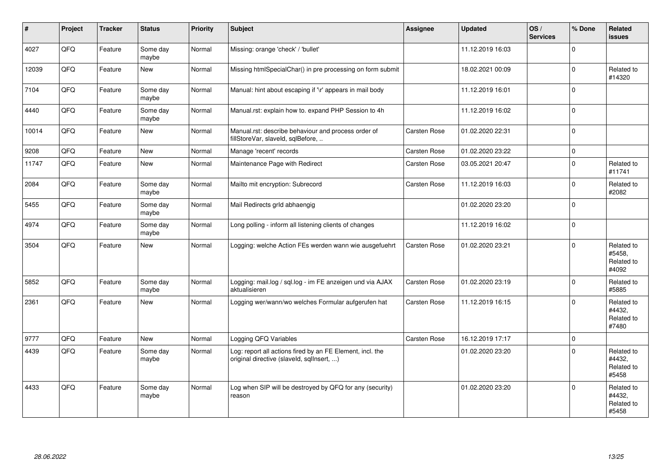| #     | Project | <b>Tracker</b> | <b>Status</b>     | <b>Priority</b> | <b>Subject</b>                                                                                         | <b>Assignee</b>     | <b>Updated</b>   | OS/<br><b>Services</b> | % Done      | Related<br><b>issues</b>                    |
|-------|---------|----------------|-------------------|-----------------|--------------------------------------------------------------------------------------------------------|---------------------|------------------|------------------------|-------------|---------------------------------------------|
| 4027  | QFQ     | Feature        | Some day<br>maybe | Normal          | Missing: orange 'check' / 'bullet'                                                                     |                     | 11.12.2019 16:03 |                        | $\Omega$    |                                             |
| 12039 | QFQ     | Feature        | <b>New</b>        | Normal          | Missing htmlSpecialChar() in pre processing on form submit                                             |                     | 18.02.2021 00:09 |                        | $\Omega$    | Related to<br>#14320                        |
| 7104  | QFQ     | Feature        | Some day<br>maybe | Normal          | Manual: hint about escaping if '\r' appears in mail body                                               |                     | 11.12.2019 16:01 |                        | $\Omega$    |                                             |
| 4440  | QFQ     | Feature        | Some day<br>maybe | Normal          | Manual.rst: explain how to. expand PHP Session to 4h                                                   |                     | 11.12.2019 16:02 |                        | $\Omega$    |                                             |
| 10014 | QFQ     | Feature        | <b>New</b>        | Normal          | Manual.rst: describe behaviour and process order of<br>fillStoreVar, slaveId, sqlBefore,               | Carsten Rose        | 01.02.2020 22:31 |                        | $\Omega$    |                                             |
| 9208  | QFQ     | Feature        | <b>New</b>        | Normal          | Manage 'recent' records                                                                                | Carsten Rose        | 01.02.2020 23:22 |                        | $\mathbf 0$ |                                             |
| 11747 | QFQ     | Feature        | <b>New</b>        | Normal          | Maintenance Page with Redirect                                                                         | Carsten Rose        | 03.05.2021 20:47 |                        | $\Omega$    | Related to<br>#11741                        |
| 2084  | QFQ     | Feature        | Some day<br>maybe | Normal          | Mailto mit encryption: Subrecord                                                                       | Carsten Rose        | 11.12.2019 16:03 |                        | $\Omega$    | Related to<br>#2082                         |
| 5455  | QFQ     | Feature        | Some day<br>maybe | Normal          | Mail Redirects grld abhaengig                                                                          |                     | 01.02.2020 23:20 |                        | $\Omega$    |                                             |
| 4974  | QFQ     | Feature        | Some day<br>maybe | Normal          | Long polling - inform all listening clients of changes                                                 |                     | 11.12.2019 16:02 |                        | $\mathbf 0$ |                                             |
| 3504  | QFQ     | Feature        | <b>New</b>        | Normal          | Logging: welche Action FEs werden wann wie ausgefuehrt                                                 | Carsten Rose        | 01.02.2020 23:21 |                        | $\Omega$    | Related to<br>#5458,<br>Related to<br>#4092 |
| 5852  | QFQ     | Feature        | Some day<br>maybe | Normal          | Logging: mail.log / sql.log - im FE anzeigen und via AJAX<br>aktualisieren                             | Carsten Rose        | 01.02.2020 23:19 |                        | $\Omega$    | Related to<br>#5885                         |
| 2361  | QFQ     | Feature        | <b>New</b>        | Normal          | Logging wer/wann/wo welches Formular aufgerufen hat                                                    | Carsten Rose        | 11.12.2019 16:15 |                        | $\Omega$    | Related to<br>#4432.<br>Related to<br>#7480 |
| 9777  | QFQ     | Feature        | <b>New</b>        | Normal          | Logging QFQ Variables                                                                                  | <b>Carsten Rose</b> | 16.12.2019 17:17 |                        | $\mathbf 0$ |                                             |
| 4439  | QFQ     | Feature        | Some day<br>maybe | Normal          | Log: report all actions fired by an FE Element, incl. the<br>original directive (slaveld, sqllnsert, ) |                     | 01.02.2020 23:20 |                        | $\Omega$    | Related to<br>#4432,<br>Related to<br>#5458 |
| 4433  | QFQ     | Feature        | Some day<br>maybe | Normal          | Log when SIP will be destroyed by QFQ for any (security)<br>reason                                     |                     | 01.02.2020 23:20 |                        | $\Omega$    | Related to<br>#4432,<br>Related to<br>#5458 |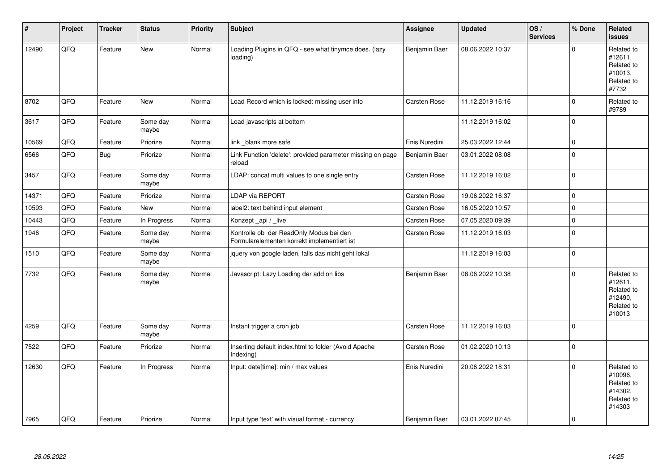| #     | Project | <b>Tracker</b> | <b>Status</b>     | <b>Priority</b> | <b>Subject</b>                                                                         | <b>Assignee</b>     | <b>Updated</b>   | OS/<br><b>Services</b> | % Done      | Related<br>issues                                                      |
|-------|---------|----------------|-------------------|-----------------|----------------------------------------------------------------------------------------|---------------------|------------------|------------------------|-------------|------------------------------------------------------------------------|
| 12490 | QFQ     | Feature        | New               | Normal          | Loading Plugins in QFQ - see what tinymce does. (lazy<br>loading)                      | Benjamin Baer       | 08.06.2022 10:37 |                        | $\Omega$    | Related to<br>#12611,<br>Related to<br>#10013,<br>Related to<br>#7732  |
| 8702  | QFQ     | Feature        | New               | Normal          | Load Record which is locked: missing user info                                         | Carsten Rose        | 11.12.2019 16:16 |                        | $\Omega$    | Related to<br>#9789                                                    |
| 3617  | QFQ     | Feature        | Some day<br>maybe | Normal          | Load javascripts at bottom                                                             |                     | 11.12.2019 16:02 |                        | 0           |                                                                        |
| 10569 | QFQ     | Feature        | Priorize          | Normal          | link blank more safe                                                                   | Enis Nuredini       | 25.03.2022 12:44 |                        | $\mathbf 0$ |                                                                        |
| 6566  | QFQ     | Bug            | Priorize          | Normal          | Link Function 'delete': provided parameter missing on page<br>reload                   | Benjamin Baer       | 03.01.2022 08:08 |                        | $\mathbf 0$ |                                                                        |
| 3457  | QFQ     | Feature        | Some day<br>maybe | Normal          | LDAP: concat multi values to one single entry                                          | Carsten Rose        | 11.12.2019 16:02 |                        | 0           |                                                                        |
| 14371 | QFQ     | Feature        | Priorize          | Normal          | LDAP via REPORT                                                                        | Carsten Rose        | 19.06.2022 16:37 |                        | $\Omega$    |                                                                        |
| 10593 | QFQ     | Feature        | New               | Normal          | label2: text behind input element                                                      | Carsten Rose        | 16.05.2020 10:57 |                        | $\mathbf 0$ |                                                                        |
| 10443 | QFQ     | Feature        | In Progress       | Normal          | Konzept api / live                                                                     | <b>Carsten Rose</b> | 07.05.2020 09:39 |                        | $\mathbf 0$ |                                                                        |
| 1946  | QFQ     | Feature        | Some day<br>maybe | Normal          | Kontrolle ob der ReadOnly Modus bei den<br>Formularelementen korrekt implementiert ist | Carsten Rose        | 11.12.2019 16:03 |                        | $\Omega$    |                                                                        |
| 1510  | QFQ     | Feature        | Some day<br>maybe | Normal          | jquery von google laden, falls das nicht geht lokal                                    |                     | 11.12.2019 16:03 |                        | $\mathbf 0$ |                                                                        |
| 7732  | QFQ     | Feature        | Some day<br>maybe | Normal          | Javascript: Lazy Loading der add on libs                                               | Benjamin Baer       | 08.06.2022 10:38 |                        | $\Omega$    | Related to<br>#12611,<br>Related to<br>#12490,<br>Related to<br>#10013 |
| 4259  | QFQ     | Feature        | Some day<br>maybe | Normal          | Instant trigger a cron job                                                             | Carsten Rose        | 11.12.2019 16:03 |                        | 0           |                                                                        |
| 7522  | QFQ     | Feature        | Priorize          | Normal          | Inserting default index.html to folder (Avoid Apache<br>Indexing)                      | Carsten Rose        | 01.02.2020 10:13 |                        | $\Omega$    |                                                                        |
| 12630 | QFQ     | Feature        | In Progress       | Normal          | Input: date[time]: min / max values                                                    | Enis Nuredini       | 20.06.2022 18:31 |                        | $\mathbf 0$ | Related to<br>#10096,<br>Related to<br>#14302.<br>Related to<br>#14303 |
| 7965  | QFQ     | Feature        | Priorize          | Normal          | Input type 'text' with visual format - currency                                        | Benjamin Baer       | 03.01.2022 07:45 |                        | $\mathbf 0$ |                                                                        |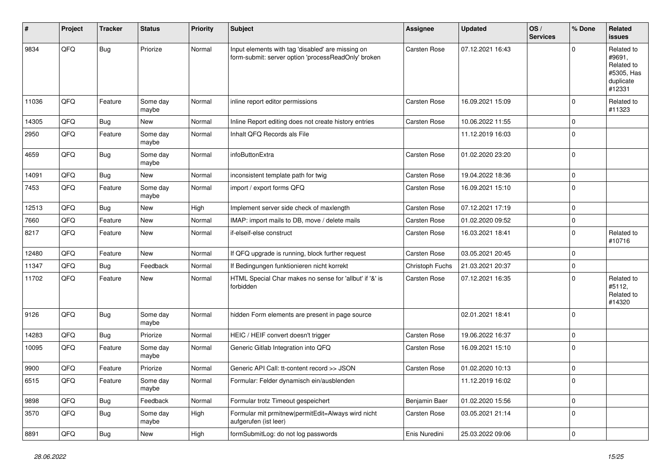| #     | Project | <b>Tracker</b> | <b>Status</b>     | <b>Priority</b> | <b>Subject</b>                                                                                           | <b>Assignee</b>     | <b>Updated</b>   | OS/<br><b>Services</b> | % Done      | Related<br>issues                                                       |
|-------|---------|----------------|-------------------|-----------------|----------------------------------------------------------------------------------------------------------|---------------------|------------------|------------------------|-------------|-------------------------------------------------------------------------|
| 9834  | QFQ     | Bug            | Priorize          | Normal          | Input elements with tag 'disabled' are missing on<br>form-submit: server option 'processReadOnly' broken | <b>Carsten Rose</b> | 07.12.2021 16:43 |                        | $\Omega$    | Related to<br>#9691,<br>Related to<br>#5305, Has<br>duplicate<br>#12331 |
| 11036 | QFQ     | Feature        | Some day<br>maybe | Normal          | inline report editor permissions                                                                         | Carsten Rose        | 16.09.2021 15:09 |                        | $\Omega$    | Related to<br>#11323                                                    |
| 14305 | QFQ     | Bug            | New               | Normal          | Inline Report editing does not create history entries                                                    | Carsten Rose        | 10.06.2022 11:55 |                        | $\mathbf 0$ |                                                                         |
| 2950  | QFQ     | Feature        | Some day<br>maybe | Normal          | Inhalt QFQ Records als File                                                                              |                     | 11.12.2019 16:03 |                        | $\Omega$    |                                                                         |
| 4659  | QFQ     | Bug            | Some day<br>maybe | Normal          | infoButtonExtra                                                                                          | <b>Carsten Rose</b> | 01.02.2020 23:20 |                        | $\Omega$    |                                                                         |
| 14091 | QFQ     | <b>Bug</b>     | New               | Normal          | inconsistent template path for twig                                                                      | <b>Carsten Rose</b> | 19.04.2022 18:36 |                        | $\Omega$    |                                                                         |
| 7453  | QFQ     | Feature        | Some day<br>maybe | Normal          | import / export forms QFQ                                                                                | Carsten Rose        | 16.09.2021 15:10 |                        | $\Omega$    |                                                                         |
| 12513 | QFQ     | Bug            | New               | High            | Implement server side check of maxlength                                                                 | <b>Carsten Rose</b> | 07.12.2021 17:19 |                        | $\Omega$    |                                                                         |
| 7660  | QFQ     | Feature        | New               | Normal          | IMAP: import mails to DB, move / delete mails                                                            | <b>Carsten Rose</b> | 01.02.2020 09:52 |                        | $\mathbf 0$ |                                                                         |
| 8217  | QFQ     | Feature        | New               | Normal          | if-elseif-else construct                                                                                 | Carsten Rose        | 16.03.2021 18:41 |                        | $\Omega$    | Related to<br>#10716                                                    |
| 12480 | QFQ     | Feature        | New               | Normal          | If QFQ upgrade is running, block further request                                                         | Carsten Rose        | 03.05.2021 20:45 |                        | $\mathbf 0$ |                                                                         |
| 11347 | QFQ     | Bug            | Feedback          | Normal          | If Bedingungen funktionieren nicht korrekt                                                               | Christoph Fuchs     | 21.03.2021 20:37 |                        | $\mathbf 0$ |                                                                         |
| 11702 | QFQ     | Feature        | New               | Normal          | HTML Special Char makes no sense for 'allbut' if '&' is<br>forbidden                                     | Carsten Rose        | 07.12.2021 16:35 |                        | $\Omega$    | Related to<br>#5112,<br>Related to<br>#14320                            |
| 9126  | QFQ     | Bug            | Some day<br>maybe | Normal          | hidden Form elements are present in page source                                                          |                     | 02.01.2021 18:41 |                        | $\Omega$    |                                                                         |
| 14283 | QFQ     | Bug            | Priorize          | Normal          | HEIC / HEIF convert doesn't trigger                                                                      | <b>Carsten Rose</b> | 19.06.2022 16:37 |                        | $\mathbf 0$ |                                                                         |
| 10095 | QFQ     | Feature        | Some day<br>maybe | Normal          | Generic Gitlab Integration into QFQ                                                                      | Carsten Rose        | 16.09.2021 15:10 |                        | $\Omega$    |                                                                         |
| 9900  | QFQ     | Feature        | Priorize          | Normal          | Generic API Call: tt-content record >> JSON                                                              | Carsten Rose        | 01.02.2020 10:13 |                        | $\mathbf 0$ |                                                                         |
| 6515  | QFQ     | Feature        | Some day<br>maybe | Normal          | Formular: Felder dynamisch ein/ausblenden                                                                |                     | 11.12.2019 16:02 |                        | O           |                                                                         |
| 9898  | QFQ     | Bug            | Feedback          | Normal          | Formular trotz Timeout gespeichert                                                                       | Benjamin Baer       | 01.02.2020 15:56 |                        | 0           |                                                                         |
| 3570  | QFQ     | Bug            | Some day<br>maybe | High            | Formular mit prmitnew permitEdit=Always wird nicht<br>aufgerufen (ist leer)                              | Carsten Rose        | 03.05.2021 21:14 |                        | $\mathbf 0$ |                                                                         |
| 8891  | QFQ     | <b>Bug</b>     | New               | High            | formSubmitLog: do not log passwords                                                                      | Enis Nuredini       | 25.03.2022 09:06 |                        | 0           |                                                                         |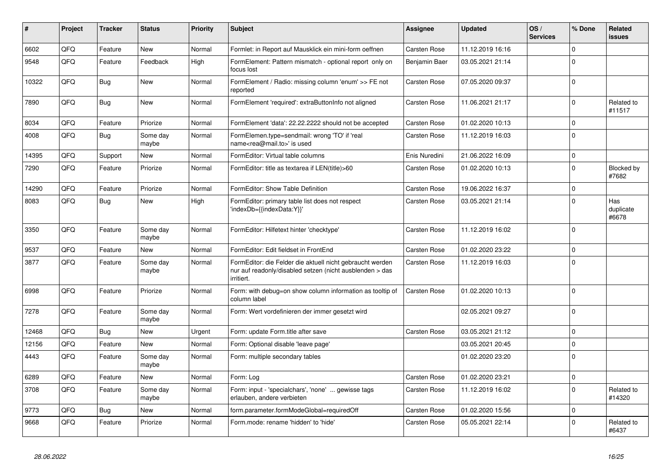| #     | Project | <b>Tracker</b> | <b>Status</b>     | <b>Priority</b> | <b>Subject</b>                                                                                                                      | <b>Assignee</b>     | <b>Updated</b>   | OS/<br><b>Services</b> | % Done      | Related<br>issues         |
|-------|---------|----------------|-------------------|-----------------|-------------------------------------------------------------------------------------------------------------------------------------|---------------------|------------------|------------------------|-------------|---------------------------|
| 6602  | QFQ     | Feature        | <b>New</b>        | Normal          | Formlet: in Report auf Mausklick ein mini-form oeffnen                                                                              | <b>Carsten Rose</b> | 11.12.2019 16:16 |                        | $\Omega$    |                           |
| 9548  | QFQ     | Feature        | Feedback          | High            | FormElement: Pattern mismatch - optional report only on<br>focus lost                                                               | Benjamin Baer       | 03.05.2021 21:14 |                        | $\Omega$    |                           |
| 10322 | QFQ     | <b>Bug</b>     | <b>New</b>        | Normal          | FormElement / Radio: missing column 'enum' >> FE not<br>reported                                                                    | Carsten Rose        | 07.05.2020 09:37 |                        | $\Omega$    |                           |
| 7890  | QFQ     | Bug            | New               | Normal          | FormElement 'required': extraButtonInfo not aligned                                                                                 | Carsten Rose        | 11.06.2021 21:17 |                        | $\Omega$    | Related to<br>#11517      |
| 8034  | QFQ     | Feature        | Priorize          | Normal          | FormElement 'data': 22.22.2222 should not be accepted                                                                               | Carsten Rose        | 01.02.2020 10:13 |                        | $\mathbf 0$ |                           |
| 4008  | QFQ     | Bug            | Some day<br>maybe | Normal          | FormElemen.type=sendmail: wrong 'TO' if 'real<br>name <rea@mail.to>' is used</rea@mail.to>                                          | Carsten Rose        | 11.12.2019 16:03 |                        | $\Omega$    |                           |
| 14395 | QFQ     | Support        | New               | Normal          | FormEditor: Virtual table columns                                                                                                   | Enis Nuredini       | 21.06.2022 16:09 |                        | $\Omega$    |                           |
| 7290  | QFQ     | Feature        | Priorize          | Normal          | FormEditor: title as textarea if LEN(title)>60                                                                                      | Carsten Rose        | 01.02.2020 10:13 |                        | $\Omega$    | Blocked by<br>#7682       |
| 14290 | QFQ     | Feature        | Priorize          | Normal          | FormEditor: Show Table Definition                                                                                                   | Carsten Rose        | 19.06.2022 16:37 |                        | $\Omega$    |                           |
| 8083  | QFQ     | <b>Bug</b>     | <b>New</b>        | High            | FormEditor: primary table list does not respect<br>'indexDb={{indexData:Y}}'                                                        | Carsten Rose        | 03.05.2021 21:14 |                        | $\Omega$    | Has<br>duplicate<br>#6678 |
| 3350  | QFQ     | Feature        | Some day<br>maybe | Normal          | FormEditor: Hilfetext hinter 'checktype'                                                                                            | Carsten Rose        | 11.12.2019 16:02 |                        | $\Omega$    |                           |
| 9537  | QFQ     | Feature        | <b>New</b>        | Normal          | FormEditor: Edit fieldset in FrontEnd                                                                                               | Carsten Rose        | 01.02.2020 23:22 |                        | $\Omega$    |                           |
| 3877  | QFQ     | Feature        | Some day<br>maybe | Normal          | FormEditor: die Felder die aktuell nicht gebraucht werden<br>nur auf readonly/disabled setzen (nicht ausblenden > das<br>irritiert. | Carsten Rose        | 11.12.2019 16:03 |                        | $\Omega$    |                           |
| 6998  | QFQ     | Feature        | Priorize          | Normal          | Form: with debug=on show column information as tooltip of<br>column label                                                           | <b>Carsten Rose</b> | 01.02.2020 10:13 |                        | $\Omega$    |                           |
| 7278  | QFQ     | Feature        | Some day<br>maybe | Normal          | Form: Wert vordefinieren der immer gesetzt wird                                                                                     |                     | 02.05.2021 09:27 |                        | $\Omega$    |                           |
| 12468 | QFQ     | Bug            | <b>New</b>        | Urgent          | Form: update Form.title after save                                                                                                  | Carsten Rose        | 03.05.2021 21:12 |                        | $\Omega$    |                           |
| 12156 | QFQ     | Feature        | <b>New</b>        | Normal          | Form: Optional disable 'leave page'                                                                                                 |                     | 03.05.2021 20:45 |                        | $\Omega$    |                           |
| 4443  | QFQ     | Feature        | Some day<br>maybe | Normal          | Form: multiple secondary tables                                                                                                     |                     | 01.02.2020 23:20 |                        | $\Omega$    |                           |
| 6289  | QFQ     | Feature        | <b>New</b>        | Normal          | Form: Log                                                                                                                           | Carsten Rose        | 01.02.2020 23:21 |                        | $\Omega$    |                           |
| 3708  | QFQ     | Feature        | Some day<br>maybe | Normal          | Form: input - 'specialchars', 'none'  gewisse tags<br>erlauben, andere verbieten                                                    | Carsten Rose        | 11.12.2019 16:02 |                        | $\Omega$    | Related to<br>#14320      |
| 9773  | QFQ     | Bug            | <b>New</b>        | Normal          | form.parameter.formModeGlobal=requiredOff                                                                                           | Carsten Rose        | 01.02.2020 15:56 |                        | $\Omega$    |                           |
| 9668  | QFQ     | Feature        | Priorize          | Normal          | Form.mode: rename 'hidden' to 'hide'                                                                                                | Carsten Rose        | 05.05.2021 22:14 |                        | $\Omega$    | Related to<br>#6437       |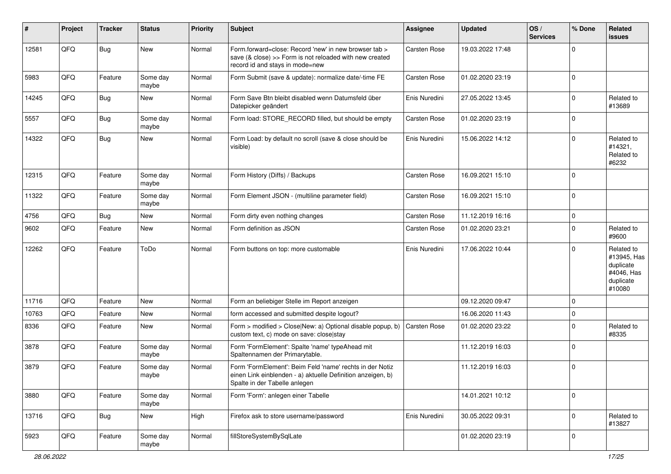| $\sharp$ | Project | <b>Tracker</b> | <b>Status</b>     | <b>Priority</b> | <b>Subject</b>                                                                                                                                           | <b>Assignee</b>     | <b>Updated</b>   | OS/<br><b>Services</b> | % Done      | Related<br><b>issues</b>                                                    |
|----------|---------|----------------|-------------------|-----------------|----------------------------------------------------------------------------------------------------------------------------------------------------------|---------------------|------------------|------------------------|-------------|-----------------------------------------------------------------------------|
| 12581    | QFQ     | Bug            | New               | Normal          | Form.forward=close: Record 'new' in new browser tab ><br>save (& close) >> Form is not reloaded with new created<br>record id and stays in mode=new      | Carsten Rose        | 19.03.2022 17:48 |                        | $\Omega$    |                                                                             |
| 5983     | QFQ     | Feature        | Some day<br>maybe | Normal          | Form Submit (save & update): normalize date/-time FE                                                                                                     | Carsten Rose        | 01.02.2020 23:19 |                        | 0           |                                                                             |
| 14245    | QFQ     | Bug            | New               | Normal          | Form Save Btn bleibt disabled wenn Datumsfeld über<br>Datepicker geändert                                                                                | Enis Nuredini       | 27.05.2022 13:45 |                        | $\mathbf 0$ | Related to<br>#13689                                                        |
| 5557     | QFQ     | <b>Bug</b>     | Some day<br>maybe | Normal          | Form load: STORE_RECORD filled, but should be empty                                                                                                      | Carsten Rose        | 01.02.2020 23:19 |                        | $\Omega$    |                                                                             |
| 14322    | QFQ     | Bug            | New               | Normal          | Form Load: by default no scroll (save & close should be<br>visible)                                                                                      | Enis Nuredini       | 15.06.2022 14:12 |                        | $\mathbf 0$ | Related to<br>#14321,<br>Related to<br>#6232                                |
| 12315    | QFQ     | Feature        | Some day<br>maybe | Normal          | Form History (Diffs) / Backups                                                                                                                           | Carsten Rose        | 16.09.2021 15:10 |                        | $\Omega$    |                                                                             |
| 11322    | QFQ     | Feature        | Some day<br>maybe | Normal          | Form Element JSON - (multiline parameter field)                                                                                                          | Carsten Rose        | 16.09.2021 15:10 |                        | 0           |                                                                             |
| 4756     | QFQ     | Bug            | New               | Normal          | Form dirty even nothing changes                                                                                                                          | Carsten Rose        | 11.12.2019 16:16 |                        | $\mathbf 0$ |                                                                             |
| 9602     | QFQ     | Feature        | New               | Normal          | Form definition as JSON                                                                                                                                  | Carsten Rose        | 01.02.2020 23:21 |                        | $\Omega$    | Related to<br>#9600                                                         |
| 12262    | QFQ     | Feature        | ToDo              | Normal          | Form buttons on top: more customable                                                                                                                     | Enis Nuredini       | 17.06.2022 10:44 |                        | $\Omega$    | Related to<br>#13945, Has<br>duplicate<br>#4046, Has<br>duplicate<br>#10080 |
| 11716    | QFQ     | Feature        | New               | Normal          | Form an beliebiger Stelle im Report anzeigen                                                                                                             |                     | 09.12.2020 09:47 |                        | $\mathbf 0$ |                                                                             |
| 10763    | QFQ     | Feature        | New               | Normal          | form accessed and submitted despite logout?                                                                                                              |                     | 16.06.2020 11:43 |                        | $\Omega$    |                                                                             |
| 8336     | QFQ     | Feature        | New               | Normal          | Form > modified > Close New: a) Optional disable popup, b)<br>custom text, c) mode on save: close stay                                                   | <b>Carsten Rose</b> | 01.02.2020 23:22 |                        | $\mathbf 0$ | Related to<br>#8335                                                         |
| 3878     | QFQ     | Feature        | Some day<br>maybe | Normal          | Form 'FormElement': Spalte 'name' typeAhead mit<br>Spaltennamen der Primarytable.                                                                        |                     | 11.12.2019 16:03 |                        | 0           |                                                                             |
| 3879     | QFQ     | Feature        | Some day<br>maybe | Normal          | Form 'FormElement': Beim Feld 'name' rechts in der Notiz<br>einen Link einblenden - a) aktuelle Definition anzeigen, b)<br>Spalte in der Tabelle anlegen |                     | 11.12.2019 16:03 |                        | $\mathbf 0$ |                                                                             |
| 3880     | QFQ     | Feature        | Some day<br>maybe | Normal          | Form 'Form': anlegen einer Tabelle                                                                                                                       |                     | 14.01.2021 10:12 |                        | $\mathbf 0$ |                                                                             |
| 13716    | QFQ     | <b>Bug</b>     | New               | High            | Firefox ask to store username/password                                                                                                                   | Enis Nuredini       | 30.05.2022 09:31 |                        | $\mathbf 0$ | Related to<br>#13827                                                        |
| 5923     | QFQ     | Feature        | Some day<br>maybe | Normal          | fillStoreSystemBySqlLate                                                                                                                                 |                     | 01.02.2020 23:19 |                        | 0           |                                                                             |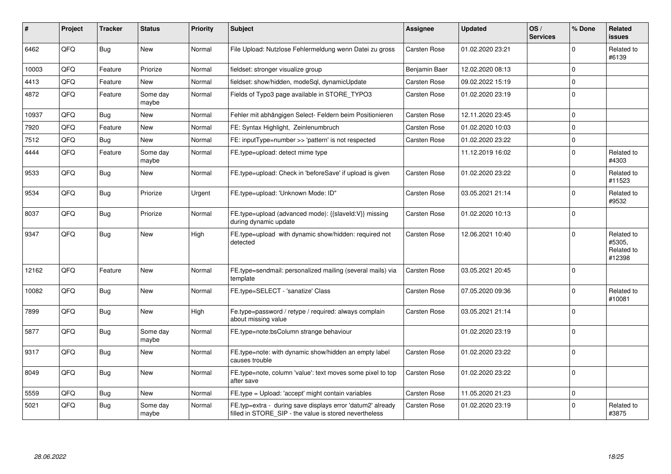| #     | Project | <b>Tracker</b> | <b>Status</b>     | <b>Priority</b> | <b>Subject</b>                                                                                                       | <b>Assignee</b>     | <b>Updated</b>   | OS/<br><b>Services</b> | % Done         | Related<br><b>issues</b>                     |
|-------|---------|----------------|-------------------|-----------------|----------------------------------------------------------------------------------------------------------------------|---------------------|------------------|------------------------|----------------|----------------------------------------------|
| 6462  | QFQ     | Bug            | <b>New</b>        | Normal          | File Upload: Nutzlose Fehlermeldung wenn Datei zu gross                                                              | <b>Carsten Rose</b> | 01.02.2020 23:21 |                        | $\Omega$       | Related to<br>#6139                          |
| 10003 | QFQ     | Feature        | Priorize          | Normal          | fieldset: stronger visualize group                                                                                   | Benjamin Baer       | 12.02.2020 08:13 |                        | $\Omega$       |                                              |
| 4413  | QFQ     | Feature        | New               | Normal          | fieldset: show/hidden, modeSql, dynamicUpdate                                                                        | Carsten Rose        | 09.02.2022 15:19 |                        | $\mathbf 0$    |                                              |
| 4872  | QFQ     | Feature        | Some day<br>maybe | Normal          | Fields of Typo3 page available in STORE_TYPO3                                                                        | Carsten Rose        | 01.02.2020 23:19 |                        | 0              |                                              |
| 10937 | QFQ     | Bug            | New               | Normal          | Fehler mit abhängigen Select- Feldern beim Positionieren                                                             | Carsten Rose        | 12.11.2020 23:45 |                        | $\Omega$       |                                              |
| 7920  | QFQ     | Feature        | New               | Normal          | FE: Syntax Highlight, Zeinlenumbruch                                                                                 | Carsten Rose        | 01.02.2020 10:03 |                        | 0              |                                              |
| 7512  | QFQ     | <b>Bug</b>     | New               | Normal          | FE: inputType=number >> 'pattern' is not respected                                                                   | Carsten Rose        | 01.02.2020 23:22 |                        | $\mathbf 0$    |                                              |
| 4444  | QFQ     | Feature        | Some day<br>maybe | Normal          | FE.type=upload: detect mime type                                                                                     |                     | 11.12.2019 16:02 |                        | $\Omega$       | Related to<br>#4303                          |
| 9533  | QFQ     | Bug            | New               | Normal          | FE.type=upload: Check in 'beforeSave' if upload is given                                                             | Carsten Rose        | 01.02.2020 23:22 |                        | $\Omega$       | Related to<br>#11523                         |
| 9534  | QFQ     | <b>Bug</b>     | Priorize          | Urgent          | FE.type=upload: 'Unknown Mode: ID"                                                                                   | Carsten Rose        | 03.05.2021 21:14 |                        | $\Omega$       | Related to<br>#9532                          |
| 8037  | QFQ     | <b>Bug</b>     | Priorize          | Normal          | FE.type=upload (advanced mode): {{slaveld:V}} missing<br>during dynamic update                                       | Carsten Rose        | 01.02.2020 10:13 |                        | $\Omega$       |                                              |
| 9347  | QFQ     | Bug            | <b>New</b>        | High            | FE.type=upload with dynamic show/hidden: required not<br>detected                                                    | Carsten Rose        | 12.06.2021 10:40 |                        | $\Omega$       | Related to<br>#5305.<br>Related to<br>#12398 |
| 12162 | QFQ     | Feature        | New               | Normal          | FE.type=sendmail: personalized mailing (several mails) via<br>template                                               | Carsten Rose        | 03.05.2021 20:45 |                        | $\overline{0}$ |                                              |
| 10082 | QFQ     | <b>Bug</b>     | <b>New</b>        | Normal          | FE.type=SELECT - 'sanatize' Class                                                                                    | Carsten Rose        | 07.05.2020 09:36 |                        | $\Omega$       | Related to<br>#10081                         |
| 7899  | QFQ     | Bug            | <b>New</b>        | High            | Fe.type=password / retype / required: always complain<br>about missing value                                         | Carsten Rose        | 03.05.2021 21:14 |                        | $\Omega$       |                                              |
| 5877  | QFQ     | <b>Bug</b>     | Some day<br>maybe | Normal          | FE.type=note:bsColumn strange behaviour                                                                              |                     | 01.02.2020 23:19 |                        | $\Omega$       |                                              |
| 9317  | QFQ     | <b>Bug</b>     | New               | Normal          | FE.type=note: with dynamic show/hidden an empty label<br>causes trouble                                              | Carsten Rose        | 01.02.2020 23:22 |                        | $\Omega$       |                                              |
| 8049  | QFQ     | <b>Bug</b>     | New               | Normal          | FE.type=note, column 'value': text moves some pixel to top<br>after save                                             | Carsten Rose        | 01.02.2020 23:22 |                        | $\Omega$       |                                              |
| 5559  | QFQ     | Bug            | New               | Normal          | FE.type = Upload: 'accept' might contain variables                                                                   | Carsten Rose        | 11.05.2020 21:23 |                        | $\mathbf 0$    |                                              |
| 5021  | QFQ     | <b>Bug</b>     | Some day<br>maybe | Normal          | FE.typ=extra - during save displays error 'datum2' already<br>filled in STORE_SIP - the value is stored nevertheless | Carsten Rose        | 01.02.2020 23:19 |                        | $\Omega$       | Related to<br>#3875                          |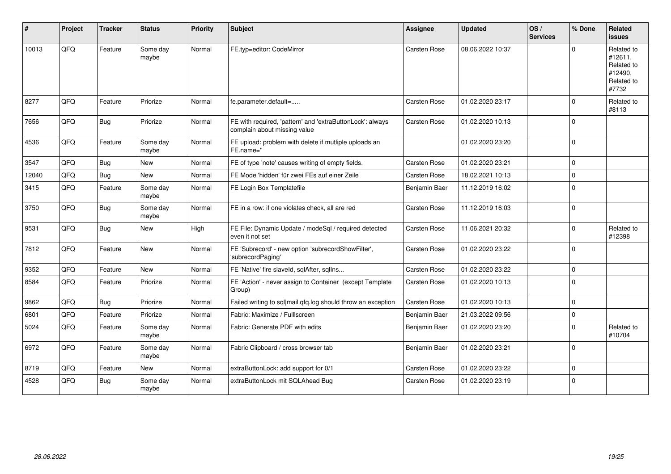| #     | Project | <b>Tracker</b> | <b>Status</b>     | <b>Priority</b> | <b>Subject</b>                                                                            | <b>Assignee</b> | <b>Updated</b>   | OS/<br><b>Services</b> | % Done         | Related<br><b>issues</b>                                              |
|-------|---------|----------------|-------------------|-----------------|-------------------------------------------------------------------------------------------|-----------------|------------------|------------------------|----------------|-----------------------------------------------------------------------|
| 10013 | QFQ     | Feature        | Some day<br>maybe | Normal          | FE.typ=editor: CodeMirror                                                                 | Carsten Rose    | 08.06.2022 10:37 |                        | $\Omega$       | Related to<br>#12611,<br>Related to<br>#12490.<br>Related to<br>#7732 |
| 8277  | QFQ     | Feature        | Priorize          | Normal          | fe.parameter.default=                                                                     | Carsten Rose    | 01.02.2020 23:17 |                        | $\Omega$       | Related to<br>#8113                                                   |
| 7656  | QFQ     | <b>Bug</b>     | Priorize          | Normal          | FE with required, 'pattern' and 'extraButtonLock': always<br>complain about missing value | Carsten Rose    | 01.02.2020 10:13 |                        | $\Omega$       |                                                                       |
| 4536  | QFQ     | Feature        | Some day<br>maybe | Normal          | FE upload: problem with delete if mutliple uploads an<br>FE.name="                        |                 | 01.02.2020 23:20 |                        | $\Omega$       |                                                                       |
| 3547  | QFQ     | Bug            | New               | Normal          | FE of type 'note' causes writing of empty fields.                                         | Carsten Rose    | 01.02.2020 23:21 |                        | $\Omega$       |                                                                       |
| 12040 | QFQ     | Bug            | <b>New</b>        | Normal          | FE Mode 'hidden' für zwei FEs auf einer Zeile                                             | Carsten Rose    | 18.02.2021 10:13 |                        | $\Omega$       |                                                                       |
| 3415  | QFQ     | Feature        | Some day<br>maybe | Normal          | FE Login Box Templatefile                                                                 | Benjamin Baer   | 11.12.2019 16:02 |                        | $\Omega$       |                                                                       |
| 3750  | QFQ     | Bug            | Some day<br>maybe | Normal          | FE in a row: if one violates check, all are red                                           | Carsten Rose    | 11.12.2019 16:03 |                        | 0              |                                                                       |
| 9531  | QFQ     | Bug            | New               | High            | FE File: Dynamic Update / modeSql / required detected<br>even it not set                  | Carsten Rose    | 11.06.2021 20:32 |                        | $\mathbf 0$    | Related to<br>#12398                                                  |
| 7812  | QFQ     | Feature        | New               | Normal          | FE 'Subrecord' - new option 'subrecordShowFilter',<br>'subrecordPaging'                   | Carsten Rose    | 01.02.2020 23:22 |                        | $\overline{0}$ |                                                                       |
| 9352  | QFQ     | Feature        | <b>New</b>        | Normal          | FE 'Native' fire slaveld, sqlAfter, sqlIns                                                | Carsten Rose    | 01.02.2020 23:22 |                        | $\mathbf 0$    |                                                                       |
| 8584  | QFQ     | Feature        | Priorize          | Normal          | FE 'Action' - never assign to Container (except Template<br>Group)                        | Carsten Rose    | 01.02.2020 10:13 |                        | $\Omega$       |                                                                       |
| 9862  | QFQ     | Bug            | Priorize          | Normal          | Failed writing to sql mail qfq.log should throw an exception                              | Carsten Rose    | 01.02.2020 10:13 |                        | $\mathbf 0$    |                                                                       |
| 6801  | QFQ     | Feature        | Priorize          | Normal          | Fabric: Maximize / Fulllscreen                                                            | Benjamin Baer   | 21.03.2022 09:56 |                        | $\mathbf 0$    |                                                                       |
| 5024  | QFQ     | Feature        | Some day<br>maybe | Normal          | Fabric: Generate PDF with edits                                                           | Benjamin Baer   | 01.02.2020 23:20 |                        | $\Omega$       | Related to<br>#10704                                                  |
| 6972  | QFQ     | Feature        | Some day<br>maybe | Normal          | Fabric Clipboard / cross browser tab                                                      | Benjamin Baer   | 01.02.2020 23:21 |                        | $\Omega$       |                                                                       |
| 8719  | QFQ     | Feature        | <b>New</b>        | Normal          | extraButtonLock: add support for 0/1                                                      | Carsten Rose    | 01.02.2020 23:22 |                        | $\mathbf 0$    |                                                                       |
| 4528  | QFQ     | Bug            | Some day<br>maybe | Normal          | extraButtonLock mit SQLAhead Bug                                                          | Carsten Rose    | 01.02.2020 23:19 |                        | $\mathbf 0$    |                                                                       |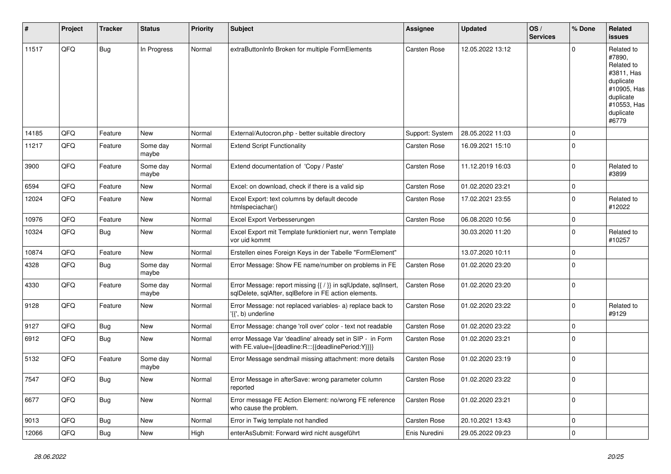| ∦     | Project | <b>Tracker</b> | <b>Status</b>     | <b>Priority</b> | <b>Subject</b>                                                                                                          | <b>Assignee</b>     | <b>Updated</b>   | OS/<br><b>Services</b> | % Done       | Related<br>issues                                                                                                              |
|-------|---------|----------------|-------------------|-----------------|-------------------------------------------------------------------------------------------------------------------------|---------------------|------------------|------------------------|--------------|--------------------------------------------------------------------------------------------------------------------------------|
| 11517 | QFQ     | Bug            | In Progress       | Normal          | extraButtonInfo Broken for multiple FormElements                                                                        | Carsten Rose        | 12.05.2022 13:12 |                        | $\Omega$     | Related to<br>#7890,<br>Related to<br>#3811, Has<br>duplicate<br>#10905, Has<br>duplicate<br>#10553, Has<br>duplicate<br>#6779 |
| 14185 | QFQ     | Feature        | <b>New</b>        | Normal          | External/Autocron.php - better suitable directory                                                                       | Support: System     | 28.05.2022 11:03 |                        | $\Omega$     |                                                                                                                                |
| 11217 | QFQ     | Feature        | Some day<br>maybe | Normal          | <b>Extend Script Functionality</b>                                                                                      | Carsten Rose        | 16.09.2021 15:10 |                        | $\Omega$     |                                                                                                                                |
| 3900  | QFQ     | Feature        | Some day<br>maybe | Normal          | Extend documentation of 'Copy / Paste'                                                                                  | Carsten Rose        | 11.12.2019 16:03 |                        | $\Omega$     | Related to<br>#3899                                                                                                            |
| 6594  | QFQ     | Feature        | New               | Normal          | Excel: on download, check if there is a valid sip                                                                       | <b>Carsten Rose</b> | 01.02.2020 23:21 |                        | $\mathbf{0}$ |                                                                                                                                |
| 12024 | QFQ     | Feature        | New               | Normal          | Excel Export: text columns by default decode<br>htmlspeciachar()                                                        | Carsten Rose        | 17.02.2021 23:55 |                        | $\mathbf 0$  | Related to<br>#12022                                                                                                           |
| 10976 | QFQ     | Feature        | New               | Normal          | Excel Export Verbesserungen                                                                                             | Carsten Rose        | 06.08.2020 10:56 |                        | $\mathbf 0$  |                                                                                                                                |
| 10324 | QFQ     | Bug            | New               | Normal          | Excel Export mit Template funktioniert nur, wenn Template<br>vor uid kommt                                              |                     | 30.03.2020 11:20 |                        | $\Omega$     | Related to<br>#10257                                                                                                           |
| 10874 | QFQ     | Feature        | <b>New</b>        | Normal          | Erstellen eines Foreign Keys in der Tabelle "FormElement"                                                               |                     | 13.07.2020 10:11 |                        | $\Omega$     |                                                                                                                                |
| 4328  | QFQ     | Bug            | Some day<br>maybe | Normal          | Error Message: Show FE name/number on problems in FE                                                                    | Carsten Rose        | 01.02.2020 23:20 |                        | $\Omega$     |                                                                                                                                |
| 4330  | QFQ     | Feature        | Some day<br>maybe | Normal          | Error Message: report missing {{ / }} in sqlUpdate, sqlInsert,<br>sqlDelete, sqlAfter, sqlBefore in FE action elements. | Carsten Rose        | 01.02.2020 23:20 |                        | $\Omega$     |                                                                                                                                |
| 9128  | QFQ     | Feature        | New               | Normal          | Error Message: not replaced variables- a) replace back to<br>'{{', b) underline                                         | <b>Carsten Rose</b> | 01.02.2020 23:22 |                        | $\Omega$     | Related to<br>#9129                                                                                                            |
| 9127  | QFQ     | Bug            | New               | Normal          | Error Message: change 'roll over' color - text not readable                                                             | <b>Carsten Rose</b> | 01.02.2020 23:22 |                        | $\mathbf 0$  |                                                                                                                                |
| 6912  | QFQ     | Bug            | New               | Normal          | error Message Var 'deadline' already set in SIP - in Form<br>with FE.value={{deadline:R:::{{deadlinePeriod:Y}}}}        | Carsten Rose        | 01.02.2020 23:21 |                        | $\Omega$     |                                                                                                                                |
| 5132  | QFQ     | Feature        | Some day<br>maybe | Normal          | Error Message sendmail missing attachment: more details                                                                 | Carsten Rose        | 01.02.2020 23:19 |                        | $\Omega$     |                                                                                                                                |
| 7547  | QFQ     | Bug            | <b>New</b>        | Normal          | Error Message in afterSave: wrong parameter column<br>reported                                                          | Carsten Rose        | 01.02.2020 23:22 |                        | $\Omega$     |                                                                                                                                |
| 6677  | QFQ     | Bug            | <b>New</b>        | Normal          | Error message FE Action Element: no/wrong FE reference<br>who cause the problem.                                        | Carsten Rose        | 01.02.2020 23:21 |                        | $\mathbf 0$  |                                                                                                                                |
| 9013  | QFQ     | Bug            | <b>New</b>        | Normal          | Error in Twig template not handled                                                                                      | <b>Carsten Rose</b> | 20.10.2021 13:43 |                        | $\mathbf 0$  |                                                                                                                                |
| 12066 | QFQ     | Bug            | New               | High            | enterAsSubmit: Forward wird nicht ausgeführt                                                                            | Enis Nuredini       | 29.05.2022 09:23 |                        | $\mathbf 0$  |                                                                                                                                |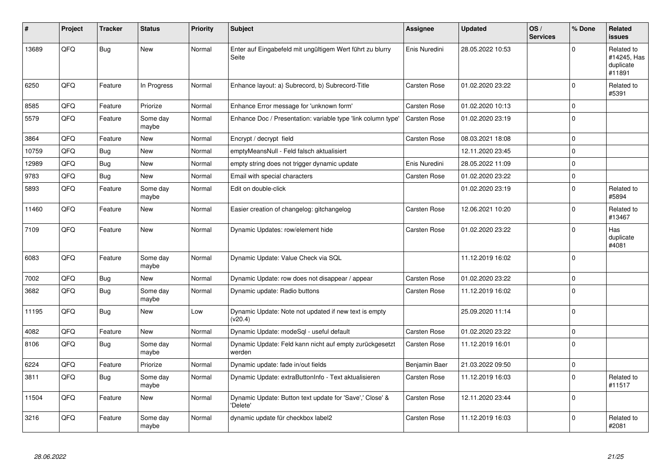| ∦     | Project | <b>Tracker</b> | <b>Status</b>     | <b>Priority</b> | <b>Subject</b>                                                       | Assignee            | <b>Updated</b>   | OS/<br><b>Services</b> | % Done      | Related<br><b>issues</b>                         |
|-------|---------|----------------|-------------------|-----------------|----------------------------------------------------------------------|---------------------|------------------|------------------------|-------------|--------------------------------------------------|
| 13689 | QFQ     | Bug            | <b>New</b>        | Normal          | Enter auf Eingabefeld mit ungültigem Wert führt zu blurry<br>Seite   | Enis Nuredini       | 28.05.2022 10:53 |                        | $\Omega$    | Related to<br>#14245, Has<br>duplicate<br>#11891 |
| 6250  | QFQ     | Feature        | In Progress       | Normal          | Enhance layout: a) Subrecord, b) Subrecord-Title                     | <b>Carsten Rose</b> | 01.02.2020 23:22 |                        | $\Omega$    | Related to<br>#5391                              |
| 8585  | QFQ     | Feature        | Priorize          | Normal          | Enhance Error message for 'unknown form'                             | Carsten Rose        | 01.02.2020 10:13 |                        | $\Omega$    |                                                  |
| 5579  | QFQ     | Feature        | Some day<br>maybe | Normal          | Enhance Doc / Presentation: variable type 'link column type'         | Carsten Rose        | 01.02.2020 23:19 |                        | $\mathbf 0$ |                                                  |
| 3864  | QFQ     | Feature        | New               | Normal          | Encrypt / decrypt field                                              | Carsten Rose        | 08.03.2021 18:08 |                        | $\mathbf 0$ |                                                  |
| 10759 | QFQ     | <b>Bug</b>     | New               | Normal          | emptyMeansNull - Feld falsch aktualisiert                            |                     | 12.11.2020 23:45 |                        | $\mathbf 0$ |                                                  |
| 12989 | QFQ     | Bug            | <b>New</b>        | Normal          | empty string does not trigger dynamic update                         | Enis Nuredini       | 28.05.2022 11:09 |                        | 0           |                                                  |
| 9783  | QFQ     | Bug            | <b>New</b>        | Normal          | Email with special characters                                        | Carsten Rose        | 01.02.2020 23:22 |                        | $\mathbf 0$ |                                                  |
| 5893  | QFQ     | Feature        | Some day<br>maybe | Normal          | Edit on double-click                                                 |                     | 01.02.2020 23:19 |                        | $\Omega$    | Related to<br>#5894                              |
| 11460 | QFQ     | Feature        | <b>New</b>        | Normal          | Easier creation of changelog: gitchangelog                           | Carsten Rose        | 12.06.2021 10:20 |                        | $\Omega$    | Related to<br>#13467                             |
| 7109  | QFQ     | Feature        | <b>New</b>        | Normal          | Dynamic Updates: row/element hide                                    | Carsten Rose        | 01.02.2020 23:22 |                        | $\Omega$    | Has<br>duplicate<br>#4081                        |
| 6083  | QFQ     | Feature        | Some day<br>maybe | Normal          | Dynamic Update: Value Check via SQL                                  |                     | 11.12.2019 16:02 |                        | $\Omega$    |                                                  |
| 7002  | QFQ     | <b>Bug</b>     | New               | Normal          | Dynamic Update: row does not disappear / appear                      | <b>Carsten Rose</b> | 01.02.2020 23:22 |                        | $\mathbf 0$ |                                                  |
| 3682  | QFQ     | Bug            | Some day<br>maybe | Normal          | Dynamic update: Radio buttons                                        | Carsten Rose        | 11.12.2019 16:02 |                        | $\Omega$    |                                                  |
| 11195 | QFQ     | Bug            | <b>New</b>        | Low             | Dynamic Update: Note not updated if new text is empty<br>(v20.4)     |                     | 25.09.2020 11:14 |                        | $\Omega$    |                                                  |
| 4082  | QFQ     | Feature        | <b>New</b>        | Normal          | Dynamic Update: modeSql - useful default                             | <b>Carsten Rose</b> | 01.02.2020 23:22 |                        | $\mathbf 0$ |                                                  |
| 8106  | QFQ     | Bug            | Some day<br>maybe | Normal          | Dynamic Update: Feld kann nicht auf empty zurückgesetzt<br>werden    | Carsten Rose        | 11.12.2019 16:01 |                        | $\Omega$    |                                                  |
| 6224  | QFQ     | Feature        | Priorize          | Normal          | Dynamic update: fade in/out fields                                   | Benjamin Baer       | 21.03.2022 09:50 |                        | $\mathbf 0$ |                                                  |
| 3811  | QFQ     | Bug            | Some day<br>maybe | Normal          | Dynamic Update: extraButtonInfo - Text aktualisieren                 | Carsten Rose        | 11.12.2019 16:03 |                        | $\Omega$    | Related to<br>#11517                             |
| 11504 | QFQ     | Feature        | <b>New</b>        | Normal          | Dynamic Update: Button text update for 'Save',' Close' &<br>'Delete' | Carsten Rose        | 12.11.2020 23:44 |                        | $\mathbf 0$ |                                                  |
| 3216  | QFQ     | Feature        | Some day<br>maybe | Normal          | dynamic update für checkbox label2                                   | <b>Carsten Rose</b> | 11.12.2019 16:03 |                        | $\Omega$    | Related to<br>#2081                              |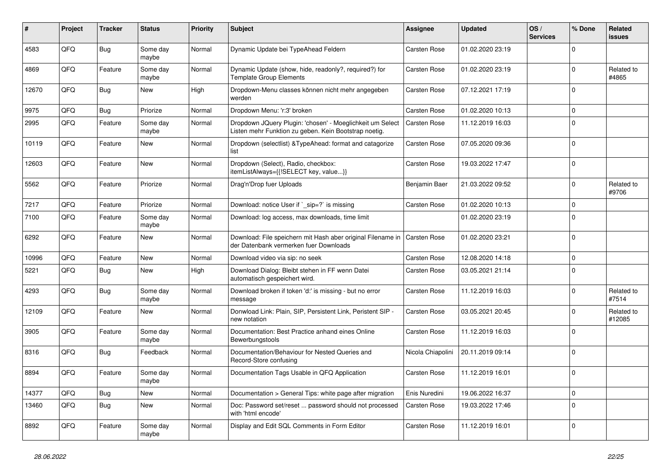| #     | Project | <b>Tracker</b> | <b>Status</b>     | <b>Priority</b> | <b>Subject</b>                                                                                                     | <b>Assignee</b>     | <b>Updated</b>   | OS/<br><b>Services</b> | % Done      | Related<br>issues    |
|-------|---------|----------------|-------------------|-----------------|--------------------------------------------------------------------------------------------------------------------|---------------------|------------------|------------------------|-------------|----------------------|
| 4583  | QFQ     | <b>Bug</b>     | Some day<br>maybe | Normal          | Dynamic Update bei TypeAhead Feldern                                                                               | Carsten Rose        | 01.02.2020 23:19 |                        | $\Omega$    |                      |
| 4869  | QFQ     | Feature        | Some day<br>maybe | Normal          | Dynamic Update (show, hide, readonly?, required?) for<br><b>Template Group Elements</b>                            | Carsten Rose        | 01.02.2020 23:19 |                        | $\mathbf 0$ | Related to<br>#4865  |
| 12670 | QFQ     | <b>Bug</b>     | New               | High            | Dropdown-Menu classes können nicht mehr angegeben<br>werden                                                        | Carsten Rose        | 07.12.2021 17:19 |                        | $\Omega$    |                      |
| 9975  | QFQ     | Bug            | Priorize          | Normal          | Dropdown Menu: 'r:3' broken                                                                                        | <b>Carsten Rose</b> | 01.02.2020 10:13 |                        | $\Omega$    |                      |
| 2995  | QFQ     | Feature        | Some day<br>maybe | Normal          | Dropdown JQuery Plugin: 'chosen' - Moeglichkeit um Select<br>Listen mehr Funktion zu geben. Kein Bootstrap noetig. | Carsten Rose        | 11.12.2019 16:03 |                        | $\Omega$    |                      |
| 10119 | QFQ     | Feature        | New               | Normal          | Dropdown (selectlist) & Type Ahead: format and catagorize<br>list                                                  | Carsten Rose        | 07.05.2020 09:36 |                        | $\Omega$    |                      |
| 12603 | QFQ     | Feature        | New               | Normal          | Dropdown (Select), Radio, checkbox:<br>itemListAlways={{!SELECT key, value}}                                       | Carsten Rose        | 19.03.2022 17:47 |                        | $\Omega$    |                      |
| 5562  | QFQ     | Feature        | Priorize          | Normal          | Drag'n'Drop fuer Uploads                                                                                           | Benjamin Baer       | 21.03.2022 09:52 |                        | $\Omega$    | Related to<br>#9706  |
| 7217  | QFQ     | Feature        | Priorize          | Normal          | Download: notice User if `_sip=?` is missing                                                                       | Carsten Rose        | 01.02.2020 10:13 |                        | $\Omega$    |                      |
| 7100  | QFQ     | Feature        | Some day<br>maybe | Normal          | Download: log access, max downloads, time limit                                                                    |                     | 01.02.2020 23:19 |                        | $\Omega$    |                      |
| 6292  | QFQ     | Feature        | New               | Normal          | Download: File speichern mit Hash aber original Filename in<br>der Datenbank vermerken fuer Downloads              | <b>Carsten Rose</b> | 01.02.2020 23:21 |                        | $\Omega$    |                      |
| 10996 | QFQ     | Feature        | <b>New</b>        | Normal          | Download video via sip: no seek                                                                                    | Carsten Rose        | 12.08.2020 14:18 |                        | $\mathbf 0$ |                      |
| 5221  | QFQ     | Bug            | <b>New</b>        | High            | Download Dialog: Bleibt stehen in FF wenn Datei<br>automatisch gespeichert wird.                                   | Carsten Rose        | 03.05.2021 21:14 |                        | $\Omega$    |                      |
| 4293  | QFQ     | Bug            | Some day<br>maybe | Normal          | Download broken if token 'd:' is missing - but no error<br>message                                                 | Carsten Rose        | 11.12.2019 16:03 |                        | $\Omega$    | Related to<br>#7514  |
| 12109 | QFQ     | Feature        | New               | Normal          | Donwload Link: Plain, SIP, Persistent Link, Peristent SIP -<br>new notation                                        | Carsten Rose        | 03.05.2021 20:45 |                        | $\Omega$    | Related to<br>#12085 |
| 3905  | QFQ     | Feature        | Some day<br>maybe | Normal          | Documentation: Best Practice anhand eines Online<br>Bewerbungstools                                                | Carsten Rose        | 11.12.2019 16:03 |                        | $\Omega$    |                      |
| 8316  | QFQ     | Bug            | Feedback          | Normal          | Documentation/Behaviour for Nested Queries and<br>Record-Store confusing                                           | Nicola Chiapolini   | 20.11.2019 09:14 |                        | $\Omega$    |                      |
| 8894  | QFQ     | Feature        | Some day<br>maybe | Normal          | Documentation Tags Usable in QFQ Application                                                                       | Carsten Rose        | 11.12.2019 16:01 |                        | $\Omega$    |                      |
| 14377 | QFQ     | <b>Bug</b>     | New               | Normal          | Documentation > General Tips: white page after migration                                                           | Enis Nuredini       | 19.06.2022 16:37 |                        | $\mathbf 0$ |                      |
| 13460 | QFQ     | Bug            | <b>New</b>        | Normal          | Doc: Password set/reset  password should not processed<br>with 'html encode'                                       | Carsten Rose        | 19.03.2022 17:46 |                        | $\Omega$    |                      |
| 8892  | QFQ     | Feature        | Some day<br>maybe | Normal          | Display and Edit SQL Comments in Form Editor                                                                       | <b>Carsten Rose</b> | 11.12.2019 16:01 |                        | $\Omega$    |                      |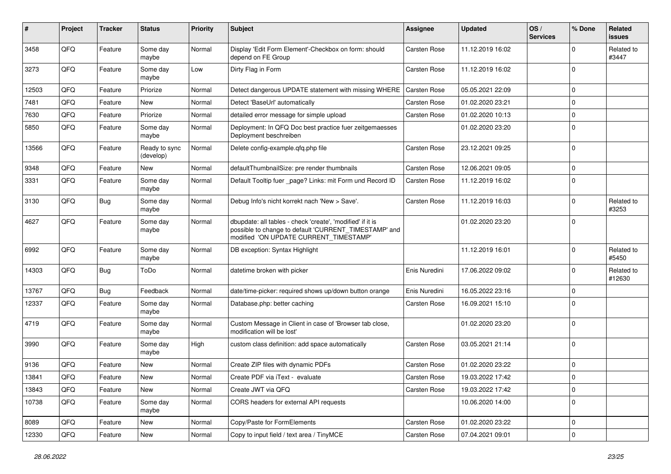| $\#$  | Project | <b>Tracker</b> | <b>Status</b>              | <b>Priority</b> | Subject                                                                                                                                                       | <b>Assignee</b>     | <b>Updated</b>   | OS/<br><b>Services</b> | % Done      | Related<br>issues    |
|-------|---------|----------------|----------------------------|-----------------|---------------------------------------------------------------------------------------------------------------------------------------------------------------|---------------------|------------------|------------------------|-------------|----------------------|
| 3458  | QFQ     | Feature        | Some day<br>maybe          | Normal          | Display 'Edit Form Element'-Checkbox on form: should<br>depend on FE Group                                                                                    | Carsten Rose        | 11.12.2019 16:02 |                        | 0           | Related to<br>#3447  |
| 3273  | QFQ     | Feature        | Some day<br>maybe          | Low             | Dirty Flag in Form                                                                                                                                            | Carsten Rose        | 11.12.2019 16:02 |                        | $\Omega$    |                      |
| 12503 | QFQ     | Feature        | Priorize                   | Normal          | Detect dangerous UPDATE statement with missing WHERE                                                                                                          | Carsten Rose        | 05.05.2021 22:09 |                        | $\Omega$    |                      |
| 7481  | QFQ     | Feature        | <b>New</b>                 | Normal          | Detect 'BaseUrl' automatically                                                                                                                                | Carsten Rose        | 01.02.2020 23:21 |                        | $\Omega$    |                      |
| 7630  | QFQ     | Feature        | Priorize                   | Normal          | detailed error message for simple upload                                                                                                                      | Carsten Rose        | 01.02.2020 10:13 |                        | 0           |                      |
| 5850  | QFQ     | Feature        | Some day<br>maybe          | Normal          | Deployment: In QFQ Doc best practice fuer zeitgemaesses<br>Deployment beschreiben                                                                             |                     | 01.02.2020 23:20 |                        | $\Omega$    |                      |
| 13566 | QFQ     | Feature        | Ready to sync<br>(develop) | Normal          | Delete config-example.qfq.php file                                                                                                                            | Carsten Rose        | 23.12.2021 09:25 |                        | $\Omega$    |                      |
| 9348  | QFQ     | Feature        | <b>New</b>                 | Normal          | defaultThumbnailSize: pre render thumbnails                                                                                                                   | <b>Carsten Rose</b> | 12.06.2021 09:05 |                        | 0           |                      |
| 3331  | QFQ     | Feature        | Some day<br>maybe          | Normal          | Default Tooltip fuer page? Links: mit Form und Record ID                                                                                                      | Carsten Rose        | 11.12.2019 16:02 |                        | 0           |                      |
| 3130  | QFQ     | Bug            | Some day<br>maybe          | Normal          | Debug Info's nicht korrekt nach 'New > Save'.                                                                                                                 | Carsten Rose        | 11.12.2019 16:03 |                        | $\Omega$    | Related to<br>#3253  |
| 4627  | QFQ     | Feature        | Some day<br>maybe          | Normal          | dbupdate: all tables - check 'create', 'modified' if it is<br>possible to change to default 'CURRENT_TIMESTAMP' and<br>modified 'ON UPDATE CURRENT_TIMESTAMP' |                     | 01.02.2020 23:20 |                        | $\mathbf 0$ |                      |
| 6992  | QFQ     | Feature        | Some day<br>maybe          | Normal          | DB exception: Syntax Highlight                                                                                                                                |                     | 11.12.2019 16:01 |                        | $\mathbf 0$ | Related to<br>#5450  |
| 14303 | QFQ     | Bug            | ToDo                       | Normal          | datetime broken with picker                                                                                                                                   | Enis Nuredini       | 17.06.2022 09:02 |                        | $\Omega$    | Related to<br>#12630 |
| 13767 | QFQ     | Bug            | Feedback                   | Normal          | date/time-picker: required shows up/down button orange                                                                                                        | Enis Nuredini       | 16.05.2022 23:16 |                        | $\Omega$    |                      |
| 12337 | QFQ     | Feature        | Some day<br>maybe          | Normal          | Database.php: better caching                                                                                                                                  | Carsten Rose        | 16.09.2021 15:10 |                        | $\Omega$    |                      |
| 4719  | QFQ     | Feature        | Some day<br>maybe          | Normal          | Custom Message in Client in case of 'Browser tab close,<br>modification will be lost'                                                                         |                     | 01.02.2020 23:20 |                        | $\Omega$    |                      |
| 3990  | QFQ     | Feature        | Some day<br>maybe          | High            | custom class definition: add space automatically                                                                                                              | Carsten Rose        | 03.05.2021 21:14 |                        | $\Omega$    |                      |
| 9136  | QFQ     | Feature        | <b>New</b>                 | Normal          | Create ZIP files with dynamic PDFs                                                                                                                            | <b>Carsten Rose</b> | 01.02.2020 23:22 |                        | 0           |                      |
| 13841 | QFQ     | Feature        | New                        | Normal          | Create PDF via iText - evaluate                                                                                                                               | Carsten Rose        | 19.03.2022 17:42 |                        | $\Omega$    |                      |
| 13843 | QFQ     | Feature        | New                        | Normal          | Create JWT via QFQ                                                                                                                                            | Carsten Rose        | 19.03.2022 17:42 |                        | 0           |                      |
| 10738 | QFQ     | Feature        | Some day<br>maybe          | Normal          | CORS headers for external API requests                                                                                                                        |                     | 10.06.2020 14:00 |                        | $\mathbf 0$ |                      |
| 8089  | QFQ     | Feature        | New                        | Normal          | Copy/Paste for FormElements                                                                                                                                   | Carsten Rose        | 01.02.2020 23:22 |                        | 0           |                      |
| 12330 | QFQ     | Feature        | New                        | Normal          | Copy to input field / text area / TinyMCE                                                                                                                     | Carsten Rose        | 07.04.2021 09:01 |                        | 0           |                      |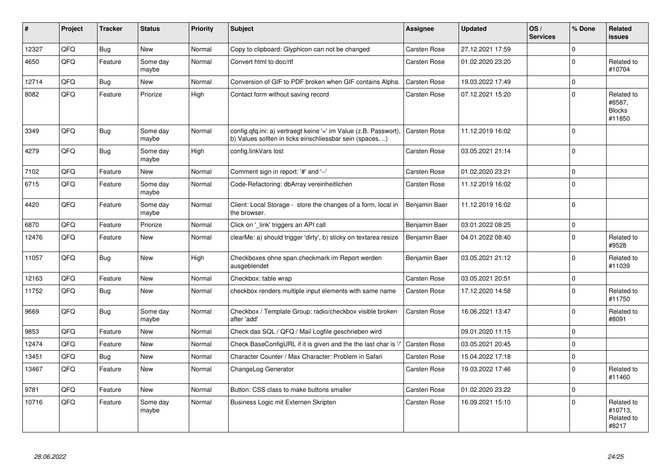| $\#$  | Project | <b>Tracker</b> | <b>Status</b>     | <b>Priority</b> | <b>Subject</b>                                                                                                                | <b>Assignee</b>     | <b>Updated</b>   | OS/<br><b>Services</b> | % Done      | <b>Related</b><br><b>issues</b>                 |
|-------|---------|----------------|-------------------|-----------------|-------------------------------------------------------------------------------------------------------------------------------|---------------------|------------------|------------------------|-------------|-------------------------------------------------|
| 12327 | QFQ     | <b>Bug</b>     | <b>New</b>        | Normal          | Copy to clipboard: Glyphicon can not be changed                                                                               | <b>Carsten Rose</b> | 27.12.2021 17:59 |                        | $\Omega$    |                                                 |
| 4650  | QFQ     | Feature        | Some day<br>maybe | Normal          | Convert html to doc/rtf                                                                                                       | Carsten Rose        | 01.02.2020 23:20 |                        | $\mathbf 0$ | Related to<br>#10704                            |
| 12714 | QFQ     | <b>Bug</b>     | New               | Normal          | Conversion of GIF to PDF broken when GIF contains Alpha.                                                                      | Carsten Rose        | 19.03.2022 17:49 |                        | $\Omega$    |                                                 |
| 8082  | QFQ     | Feature        | Priorize          | High            | Contact form without saving record                                                                                            | Carsten Rose        | 07.12.2021 15:20 |                        | $\Omega$    | Related to<br>#8587.<br><b>Blocks</b><br>#11850 |
| 3349  | QFQ     | Bug            | Some day<br>maybe | Normal          | config.qfq.ini: a) vertraegt keine '=' im Value (z.B. Passwort),<br>b) Values sollten in ticks einschliessbar sein (spaces, ) | <b>Carsten Rose</b> | 11.12.2019 16:02 |                        | $\Omega$    |                                                 |
| 4279  | QFQ     | <b>Bug</b>     | Some day<br>maybe | High            | config.linkVars lost                                                                                                          | Carsten Rose        | 03.05.2021 21:14 |                        | $\Omega$    |                                                 |
| 7102  | QFQ     | Feature        | New               | Normal          | Comment sign in report: '#' and '--'                                                                                          | Carsten Rose        | 01.02.2020 23:21 |                        | $\mathbf 0$ |                                                 |
| 6715  | QFQ     | Feature        | Some day<br>maybe | Normal          | Code-Refactoring: dbArray vereinheitlichen                                                                                    | Carsten Rose        | 11.12.2019 16:02 |                        | $\Omega$    |                                                 |
| 4420  | QFQ     | Feature        | Some day<br>maybe | Normal          | Client: Local Storage - store the changes of a form, local in<br>the browser.                                                 | Benjamin Baer       | 11.12.2019 16:02 |                        | $\Omega$    |                                                 |
| 6870  | QFQ     | Feature        | Priorize          | Normal          | Click on 'link' triggers an API call                                                                                          | Benjamin Baer       | 03.01.2022 08:25 |                        | $\mathbf 0$ |                                                 |
| 12476 | QFQ     | Feature        | New               | Normal          | clearMe: a) should trigger 'dirty', b) sticky on textarea resize                                                              | Benjamin Baer       | 04.01.2022 08:40 |                        | $\Omega$    | Related to<br>#9528                             |
| 11057 | QFQ     | <b>Bug</b>     | <b>New</b>        | High            | Checkboxes ohne span.checkmark im Report werden<br>ausgeblendet                                                               | Benjamin Baer       | 03.05.2021 21:12 |                        | $\Omega$    | Related to<br>#11039                            |
| 12163 | QFQ     | Feature        | <b>New</b>        | Normal          | Checkbox: table wrap                                                                                                          | <b>Carsten Rose</b> | 03.05.2021 20:51 |                        | $\mathbf 0$ |                                                 |
| 11752 | QFQ     | Bug            | New               | Normal          | checkbox renders multiple input elements with same name                                                                       | Carsten Rose        | 17.12.2020 14:58 |                        | $\Omega$    | Related to<br>#11750                            |
| 9669  | QFQ     | <b>Bug</b>     | Some day<br>maybe | Normal          | Checkbox / Template Group: radio/checkbox visible broken<br>after 'add'                                                       | Carsten Rose        | 16.06.2021 13:47 |                        | $\mathbf 0$ | Related to<br>#8091                             |
| 9853  | QFQ     | Feature        | New               | Normal          | Check das SQL / QFQ / Mail Logfile geschrieben wird                                                                           |                     | 09.01.2020 11:15 |                        | $\mathbf 0$ |                                                 |
| 12474 | QFQ     | Feature        | <b>New</b>        | Normal          | Check BaseConfigURL if it is given and the the last char is '/'                                                               | <b>Carsten Rose</b> | 03.05.2021 20:45 |                        | $\Omega$    |                                                 |
| 13451 | QFQ     | Bug            | New               | Normal          | Character Counter / Max Character: Problem in Safari                                                                          | Carsten Rose        | 15.04.2022 17:18 |                        | $\mathsf 0$ |                                                 |
| 13467 | QFQ     | Feature        | <b>New</b>        | Normal          | ChangeLog Generator                                                                                                           | Carsten Rose        | 19.03.2022 17:46 |                        | $\mathbf 0$ | Related to<br>#11460                            |
| 9781  | QFQ     | Feature        | <b>New</b>        | Normal          | Button: CSS class to make buttons smaller                                                                                     | Carsten Rose        | 01.02.2020 23:22 |                        | $\mathsf 0$ |                                                 |
| 10716 | QFQ     | Feature        | Some day<br>maybe | Normal          | Business Logic mit Externen Skripten                                                                                          | Carsten Rose        | 16.09.2021 15:10 |                        | $\Omega$    | Related to<br>#10713,<br>Related to<br>#8217    |